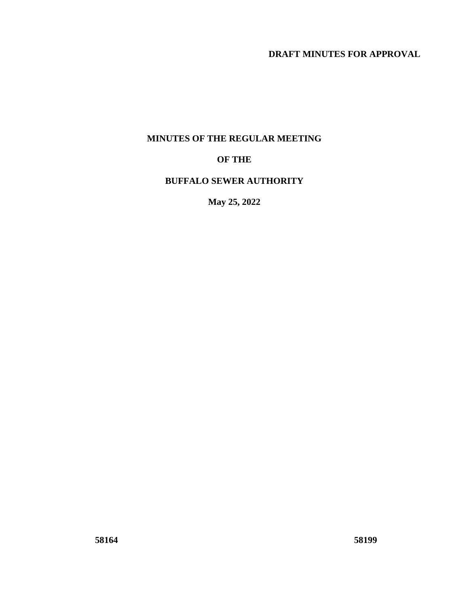# **DRAFT MINUTES FOR APPROVAL**

### **MINUTES OF THE REGULAR MEETING**

## **OF THE**

### **BUFFALO SEWER AUTHORITY**

**May 25, 2022**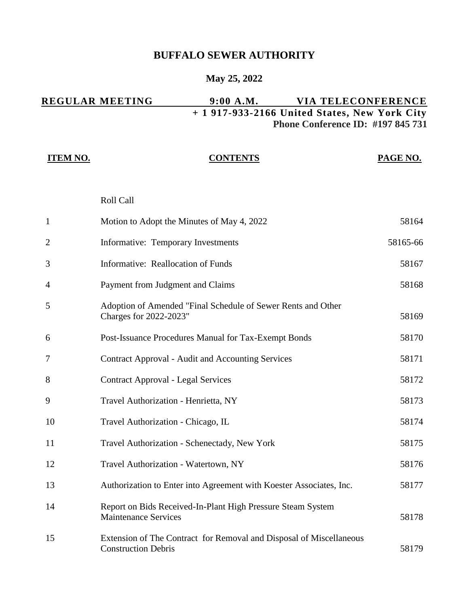# **BUFFALO SEWER AUTHORITY**

# **May 25, 2022**

|                 | <b>REGULAR MEETING</b>                                                                 | 9:00 A.M.       | VIA TELECONFERENCE<br>+ 1 917-933-2166 United States, New York City |
|-----------------|----------------------------------------------------------------------------------------|-----------------|---------------------------------------------------------------------|
|                 |                                                                                        |                 | <b>Phone Conference ID: #197 845 731</b>                            |
| <b>ITEM NO.</b> |                                                                                        | <b>CONTENTS</b> | <b>PAGE NO.</b>                                                     |
|                 |                                                                                        |                 |                                                                     |
|                 | Roll Call                                                                              |                 |                                                                     |
| 1               | Motion to Adopt the Minutes of May 4, 2022                                             |                 | 58164                                                               |
| $\overline{2}$  | Informative: Temporary Investments                                                     |                 | 58165-66                                                            |
| 3               | Informative: Reallocation of Funds                                                     |                 | 58167                                                               |
| 4               | Payment from Judgment and Claims                                                       |                 | 58168                                                               |
| 5               | Adoption of Amended "Final Schedule of Sewer Rents and Other<br>Charges for 2022-2023" |                 | 58169                                                               |
| 6               | Post-Issuance Procedures Manual for Tax-Exempt Bonds                                   |                 | 58170                                                               |
| 7               | <b>Contract Approval - Audit and Accounting Services</b>                               |                 | 58171                                                               |
| 8               | <b>Contract Approval - Legal Services</b>                                              |                 | 58172                                                               |
| 9               | Travel Authorization - Henrietta, NY                                                   |                 | 58173                                                               |
| 10              | Travel Authorization - Chicago, IL                                                     |                 | 58174                                                               |
| 11              | Travel Authorization - Schenectady, New York                                           |                 | 58175                                                               |

| 12 | Travel Authorization - Watertown, NY                                                              | 58176 |
|----|---------------------------------------------------------------------------------------------------|-------|
| 13 | Authorization to Enter into Agreement with Koester Associates, Inc.                               | 58177 |
| 14 | Report on Bids Received-In-Plant High Pressure Steam System<br><b>Maintenance Services</b>        | 58178 |
| 15 | Extension of The Contract for Removal and Disposal of Miscellaneous<br><b>Construction Debris</b> | 58179 |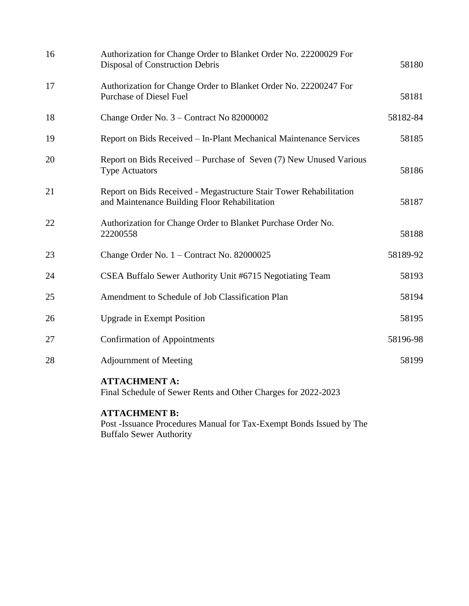| 16 | Authorization for Change Order to Blanket Order No. 22200029 For<br>Disposal of Construction Debris                 | 58180    |
|----|---------------------------------------------------------------------------------------------------------------------|----------|
| 17 | Authorization for Change Order to Blanket Order No. 22200247 For<br><b>Purchase of Diesel Fuel</b>                  | 58181    |
| 18 | Change Order No. 3 – Contract No 82000002                                                                           | 58182-84 |
| 19 | Report on Bids Received - In-Plant Mechanical Maintenance Services                                                  | 58185    |
| 20 | Report on Bids Received – Purchase of Seven (7) New Unused Various<br><b>Type Actuators</b>                         | 58186    |
| 21 | Report on Bids Received - Megastructure Stair Tower Rehabilitation<br>and Maintenance Building Floor Rehabilitation | 58187    |
| 22 | Authorization for Change Order to Blanket Purchase Order No.<br>22200558                                            | 58188    |
| 23 | Change Order No. 1 – Contract No. 82000025                                                                          | 58189-92 |
| 24 | CSEA Buffalo Sewer Authority Unit #6715 Negotiating Team                                                            | 58193    |
| 25 | Amendment to Schedule of Job Classification Plan                                                                    | 58194    |
| 26 | <b>Upgrade in Exempt Position</b>                                                                                   | 58195    |
| 27 | <b>Confirmation of Appointments</b>                                                                                 | 58196-98 |
| 28 | <b>Adjournment of Meeting</b>                                                                                       | 58199    |
|    | <b>ATTACHMENT A:</b><br>Final Schedule of Sewer Rents and Other Charges for 2022-2023                               |          |

# **ATTACHMENT B:**

Post -Issuance Procedures Manual for Tax-Exempt Bonds Issued by The Buffalo Sewer Authority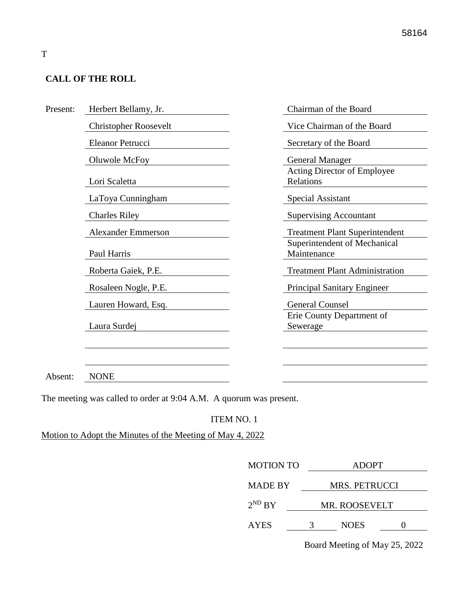### **CALL OF THE ROLL**

| Present: | Herbert Bellamy, Jr.         | Chairman of the Board                       |
|----------|------------------------------|---------------------------------------------|
|          | <b>Christopher Roosevelt</b> | Vice Chairman of the Board                  |
|          | Eleanor Petrucci             | Secretary of the Board                      |
|          | Oluwole McFoy                | <b>General Manager</b>                      |
|          | Lori Scaletta                | Acting Director of Employee<br>Relations    |
|          | LaToya Cunningham            | Special Assistant                           |
|          | <b>Charles Riley</b>         | <b>Supervising Accountant</b>               |
|          | <b>Alexander Emmerson</b>    | <b>Treatment Plant Superintendent</b>       |
|          | Paul Harris                  | Superintendent of Mechanical<br>Maintenance |
|          | Roberta Gaiek, P.E.          | <b>Treatment Plant Administration</b>       |
|          | Rosaleen Nogle, P.E.         | <b>Principal Sanitary Engineer</b>          |
|          | Lauren Howard, Esq.          | <b>General Counsel</b>                      |
|          |                              | Erie County Department of                   |
|          | Laura Surdej                 | Sewerage                                    |
|          |                              |                                             |
|          |                              |                                             |
| Absent:  | <b>NONE</b>                  |                                             |

The meeting was called to order at 9:04 A.M. A quorum was present.

### ITEM NO. 1

Motion to Adopt the Minutes of the Meeting of May 4, 2022

| <b>MOTION TO</b> | <b>ADOPT</b>         |               |  |  |
|------------------|----------------------|---------------|--|--|
| <b>MADE BY</b>   | <b>MRS. PETRUCCI</b> |               |  |  |
| $2^{ND} BY$      |                      | MR. ROOSEVELT |  |  |
| <b>AYES</b>      | 3                    | <b>NOES</b>   |  |  |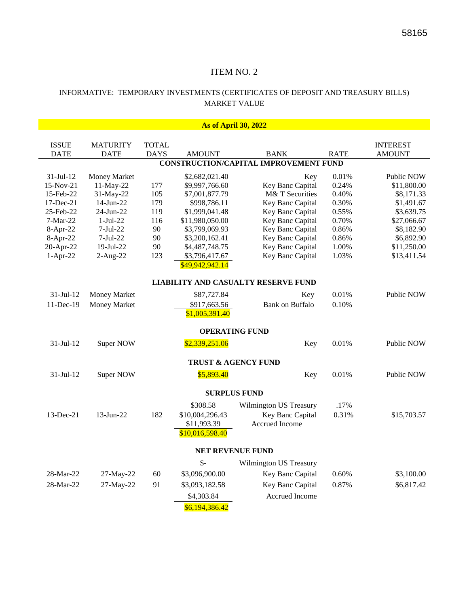#### INFORMATIVE: TEMPORARY INVESTMENTS (CERTIFICATES OF DEPOSIT AND TREASURY BILLS) MARKET VALUE

|                 | <b>As of April 30, 2022</b>    |                             |                 |                                                             |             |                 |
|-----------------|--------------------------------|-----------------------------|-----------------|-------------------------------------------------------------|-------------|-----------------|
|                 |                                |                             |                 |                                                             |             |                 |
| <b>ISSUE</b>    | <b>MATURITY</b><br><b>DATE</b> | <b>TOTAL</b><br><b>DAYS</b> | <b>AMOUNT</b>   |                                                             | <b>RATE</b> | <b>INTEREST</b> |
| DATE            |                                |                             |                 | <b>BANK</b><br><b>CONSTRUCTION/CAPITAL IMPROVEMENT FUND</b> |             | <b>AMOUNT</b>   |
|                 |                                |                             |                 |                                                             |             |                 |
| $31-Jul-12$     | Money Market                   |                             | \$2,682,021.40  | Key                                                         | 0.01%       | Public NOW      |
| 15-Nov-21       | 11-May-22                      | 177                         | \$9,997,766.60  | Key Banc Capital                                            | 0.24%       | \$11,800.00     |
| 15-Feb-22       | 31-May-22                      | 105                         | \$7,001,877.79  | M& T Securities                                             | 0.40%       | \$8,171.33      |
| $17$ -Dec- $21$ | $14$ -Jun-22                   | 179                         | \$998,786.11    | Key Banc Capital                                            | 0.30%       | \$1,491.67      |
| 25-Feb-22       | 24-Jun-22                      | 119                         | \$1,999,041.48  | Key Banc Capital                                            | 0.55%       | \$3,639.75      |
| $7-Mar-22$      | $1-Jul-22$                     | 116                         | \$11,980,050.00 | Key Banc Capital                                            | 0.70%       | \$27,066.67     |
| 8-Apr-22        | $7-Jul-22$                     | 90                          | \$3,799,069.93  | Key Banc Capital                                            | 0.86%       | \$8,182.90      |
| 8-Apr-22        | $7-Jul-22$                     | 90                          | \$3,200,162.41  | Key Banc Capital                                            | 0.86%       | \$6,892.90      |
| 20-Apr-22       | 19-Jul-22                      | 90                          | \$4,487,748.75  | Key Banc Capital                                            | 1.00%       | \$11,250.00     |
| $1-Apr-22$      | $2-Aug-22$                     | 123                         | \$3,796,417.67  | Key Banc Capital                                            | 1.03%       | \$13,411.54     |
|                 |                                |                             | \$49,942,942.14 |                                                             |             |                 |
|                 |                                |                             |                 | <b>LIABILITY AND CASUALTY RESERVE FUND</b>                  |             |                 |
| $31$ -Jul- $12$ | Money Market                   |                             | \$87,727.84     | Key                                                         | 0.01%       | Public NOW      |
| $11$ -Dec-19    | Money Market                   |                             | \$917,663.56    | <b>Bank on Buffalo</b>                                      | 0.10%       |                 |
|                 |                                |                             | \$1,005,391.40  |                                                             |             |                 |
|                 |                                |                             |                 | <b>OPERATING FUND</b>                                       |             |                 |
|                 |                                |                             |                 |                                                             |             |                 |
| $31-Jul-12$     | Super NOW                      |                             | \$2,339,251.06  | Key                                                         | 0.01%       | Public NOW      |
|                 |                                |                             |                 | <b>TRUST &amp; AGENCY FUND</b>                              |             |                 |
| $31-Jul-12$     | Super NOW                      |                             | \$5,893.40      | Key                                                         | 0.01%       | Public NOW      |
|                 |                                |                             |                 | <b>SURPLUS FUND</b>                                         |             |                 |
|                 |                                |                             | \$308.58        | Wilmington US Treasury                                      | .17%        |                 |
| 13-Dec-21       | 13-Jun-22                      | 182                         | \$10,004,296.43 | Key Banc Capital                                            | 0.31%       | \$15,703.57     |
|                 |                                |                             | \$11,993.39     | Accrued Income                                              |             |                 |
|                 |                                |                             | \$10,016,598.40 |                                                             |             |                 |
|                 |                                |                             |                 |                                                             |             |                 |
|                 |                                |                             |                 | <b>NET REVENUE FUND</b>                                     |             |                 |
|                 |                                |                             | $\mathcal{S}$ - | Wilmington US Treasury                                      |             |                 |
| 28-Mar-22       | 27-May-22                      | 60                          | \$3,096,900.00  | Key Banc Capital                                            | 0.60%       | \$3,100.00      |
| 28-Mar-22       | 27-May-22                      | 91                          | \$3,093,182.58  | Key Banc Capital                                            | 0.87%       | \$6,817.42      |
|                 |                                |                             | \$4,303.84      | Accrued Income                                              |             |                 |
|                 |                                |                             | \$6,194,386.42  |                                                             |             |                 |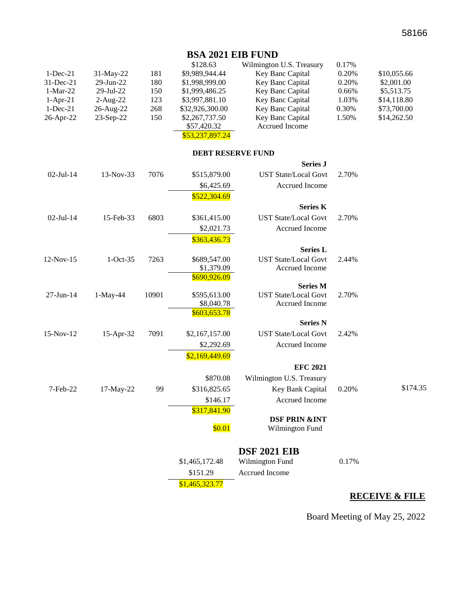## **BSA 2021 EIB FUND**

|              |            |       | \$128.63                   | Wilmington U.S. Treasury                      | 0.17% |             |
|--------------|------------|-------|----------------------------|-----------------------------------------------|-------|-------------|
| $1-Dec-21$   | 31-May-22  | 181   | \$9,989,944.44             | Key Banc Capital                              | 0.20% | \$10,055.66 |
| 31-Dec-21    | 29-Jun-22  | 180   | \$1,998,999.00             | Key Banc Capital                              | 0.20% | \$2,001.00  |
| $1-Mar-22$   | 29-Jul-22  | 150   | \$1,999,486.25             | Key Banc Capital                              | 0.66% | \$5,513.75  |
| $1-Apr-21$   | $2-Aug-22$ | 123   | \$3,997,881.10             | Key Banc Capital                              | 1.03% | \$14,118.80 |
| $1-Dec-21$   | 26-Aug-22  | 268   | \$32,926,300.00            | Key Banc Capital                              | 0.30% | \$73,700.00 |
| 26-Apr-22    | 23-Sep-22  | 150   | \$2,267,737.50             | Key Banc Capital                              | 1.50% | \$14,262.50 |
|              |            |       | \$57,420.32                | Accrued Income                                |       |             |
|              |            |       | \$53,237,897.24            |                                               |       |             |
|              |            |       | <b>DEBT RESERVE FUND</b>   |                                               |       |             |
|              |            |       |                            | <b>Series J</b>                               |       |             |
| $02$ -Jul-14 | 13-Nov-33  | 7076  | \$515,879.00               | <b>UST State/Local Govt</b>                   | 2.70% |             |
|              |            |       | \$6,425.69                 | Accrued Income                                |       |             |
|              |            |       | \$522,304.69               |                                               |       |             |
|              |            |       |                            | <b>Series K</b>                               |       |             |
| $02-Jul-14$  | 15-Feb-33  | 6803  | \$361,415.00               | <b>UST State/Local Govt</b>                   | 2.70% |             |
|              |            |       | \$2,021.73                 | Accrued Income                                |       |             |
|              |            |       | \$363,436.73               |                                               |       |             |
|              |            |       |                            | <b>Series L</b>                               |       |             |
| 12-Nov-15    | $1-Oct-35$ | 7263  | \$689,547.00               | <b>UST State/Local Govt</b>                   | 2.44% |             |
|              |            |       | \$1,379.09                 | Accrued Income                                |       |             |
|              |            |       | \$690,926.09               |                                               |       |             |
|              |            |       |                            | <b>Series M</b>                               |       |             |
| 27-Jun-14    | $1-May-44$ | 10901 | \$595,613.00<br>\$8,040.78 | <b>UST State/Local Govt</b><br>Accrued Income | 2.70% |             |
|              |            |       | \$603,653.78               |                                               |       |             |
|              |            |       |                            | <b>Series N</b>                               |       |             |
| 15-Nov-12    | 15-Apr-32  | 7091  | \$2,167,157.00             | <b>UST State/Local Govt</b>                   | 2.42% |             |
|              |            |       | \$2,292.69                 | Accrued Income                                |       |             |
|              |            |       | \$2,169,449.69             |                                               |       |             |
|              |            |       |                            | <b>EFC 2021</b>                               |       |             |
|              |            |       | \$870.08                   | Wilmington U.S. Treasury                      |       |             |
| 7-Feb-22     | 17-May-22  | 99    | \$316,825.65               | Key Bank Capital                              | 0.20% | \$174.35    |
|              |            |       | \$146.17                   | Accrued Income                                |       |             |
|              |            |       | \$317,841.90               |                                               |       |             |
|              |            |       |                            | <b>DSF PRIN &amp;INT</b>                      |       |             |
|              |            |       | \$0.01                     | Wilmington Fund                               |       |             |
|              |            |       |                            | <b>DSF 2021 EIB</b>                           |       |             |
|              |            |       | \$1,465,172.48             | Wilmington Fund                               | 0.17% |             |
|              |            |       | \$151.29                   | Accrued Income                                |       |             |
|              |            |       | \$1,465,323.77             |                                               |       |             |
|              |            |       |                            |                                               |       |             |

# **RECEIVE & FILE**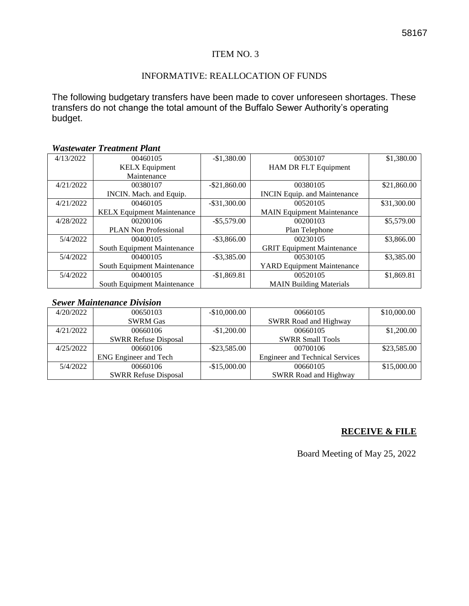#### INFORMATIVE: REALLOCATION OF FUNDS

The following budgetary transfers have been made to cover unforeseen shortages. These transfers do not change the total amount of the Buffalo Sewer Authority's operating budget.

### *Wastewater Treatment Plant*

| 4/13/2022 | 00460105                           | $-$1,380.00$    | 00530107                            | \$1,380.00  |
|-----------|------------------------------------|-----------------|-------------------------------------|-------------|
|           | <b>KELX</b> Equipment              |                 | <b>HAM DR FLT Equipment</b>         |             |
|           | Maintenance                        |                 |                                     |             |
| 4/21/2022 | 00380107                           | $-$ \$21,860.00 | 00380105                            | \$21,860.00 |
|           | INCIN. Mach. and Equip.            |                 | <b>INCIN Equip.</b> and Maintenance |             |
| 4/21/2022 | 00460105                           | $-$ \$31,300.00 | 00520105                            | \$31,300.00 |
|           | <b>KELX Equipment Maintenance</b>  |                 | <b>MAIN Equipment Maintenance</b>   |             |
| 4/28/2022 | 00200106                           | $-$ \$5,579.00  | 00200103                            | \$5,579.00  |
|           | <b>PLAN Non Professional</b>       |                 | Plan Telephone                      |             |
| 5/4/2022  | 00400105                           | $-$ \$3,866.00  | 00230105                            | \$3,866.00  |
|           | <b>South Equipment Maintenance</b> |                 | <b>GRIT Equipment Maintenance</b>   |             |
| 5/4/2022  | 00400105                           | $-$ \$3,385.00  | 00530105                            | \$3,385.00  |
|           | <b>South Equipment Maintenance</b> |                 | <b>YARD Equipment Maintenance</b>   |             |
| 5/4/2022  | 00400105                           | $-$1,869.81$    | 00520105                            | \$1,869.81  |
|           | <b>South Equipment Maintenance</b> |                 | <b>MAIN Building Materials</b>      |             |

#### *Sewer Maintenance Division*

| 4/20/2022 | 00650103                     | $-$10,000.00$   | 00660105                               | \$10,000.00 |
|-----------|------------------------------|-----------------|----------------------------------------|-------------|
|           | <b>SWRM Gas</b>              |                 | <b>SWRR Road and Highway</b>           |             |
| 4/21/2022 | 00660106                     | $-$1,200.00$    | 00660105                               | \$1,200.00  |
|           | <b>SWRR Refuse Disposal</b>  |                 | <b>SWRR Small Tools</b>                |             |
| 4/25/2022 | 00660106                     | $-$ \$23,585.00 | 00700106                               | \$23,585.00 |
|           | <b>ENG</b> Engineer and Tech |                 | <b>Engineer and Technical Services</b> |             |
| 5/4/2022  | 00660106                     | $-$15,000.00$   | 00660105                               | \$15,000.00 |
|           | <b>SWRR Refuse Disposal</b>  |                 | <b>SWRR Road and Highway</b>           |             |

#### **RECEIVE & FILE**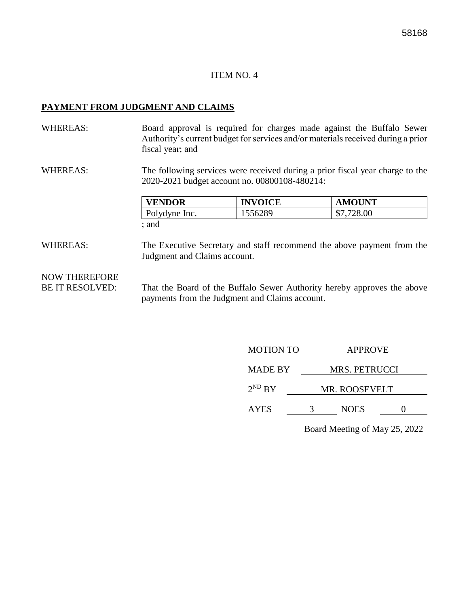#### **PAYMENT FROM JUDGMENT AND CLAIMS**

WHEREAS: Board approval is required for charges made against the Buffalo Sewer Authority's current budget for services and/or materials received during a prior fiscal year; and

WHEREAS: The following services were received during a prior fiscal year charge to the 2020-2021 budget account no. 00800108-480214:

| <b>VENDOR</b> | <b>INVOICE</b> | <b>AMOUNT</b> |
|---------------|----------------|---------------|
| Polydyne Inc. | 1556289        | \$7,728.00    |
| : and         |                |               |

WHEREAS: The Executive Secretary and staff recommend the above payment from the Judgment and Claims account.

NOW THEREFORE

BE IT RESOLVED: That the Board of the Buffalo Sewer Authority hereby approves the above payments from the Judgment and Claims account.

| <b>MOTION TO</b> | <b>APPROVE</b>       |  |
|------------------|----------------------|--|
| <b>MADE BY</b>   | <b>MRS. PETRUCCI</b> |  |
| $2^{ND}$ BY      | <b>MR. ROOSEVELT</b> |  |
| <b>AYES</b>      | <b>NOES</b>          |  |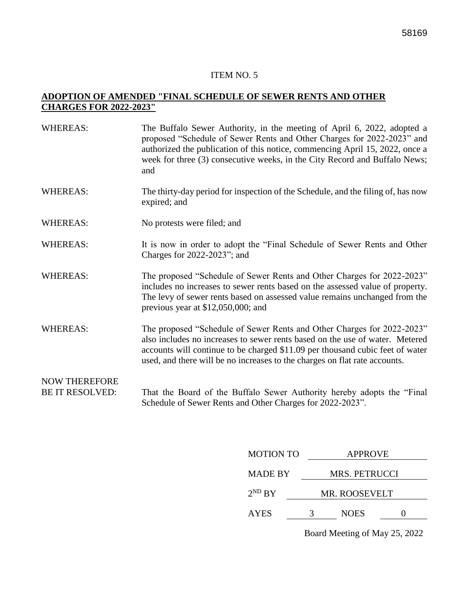#### **ADOPTION OF AMENDED "FINAL SCHEDULE OF SEWER RENTS AND OTHER CHARGES FOR 2022-2023"**

| <b>WHEREAS:</b>                                | The Buffalo Sewer Authority, in the meeting of April 6, 2022, adopted a<br>proposed "Schedule of Sewer Rents and Other Charges for 2022-2023" and<br>authorized the publication of this notice, commencing April 15, 2022, once a<br>week for three (3) consecutive weeks, in the City Record and Buffalo News;<br>and |
|------------------------------------------------|------------------------------------------------------------------------------------------------------------------------------------------------------------------------------------------------------------------------------------------------------------------------------------------------------------------------|
| <b>WHEREAS:</b>                                | The thirty-day period for inspection of the Schedule, and the filing of, has now<br>expired; and                                                                                                                                                                                                                       |
| <b>WHEREAS:</b>                                | No protests were filed; and                                                                                                                                                                                                                                                                                            |
| <b>WHEREAS:</b>                                | It is now in order to adopt the "Final Schedule of Sewer Rents and Other<br>Charges for 2022-2023"; and                                                                                                                                                                                                                |
| <b>WHEREAS:</b>                                | The proposed "Schedule of Sewer Rents and Other Charges for 2022-2023"<br>includes no increases to sewer rents based on the assessed value of property.<br>The levy of sewer rents based on assessed value remains unchanged from the<br>previous year at $$12,050,000$ ; and                                          |
| <b>WHEREAS:</b>                                | The proposed "Schedule of Sewer Rents and Other Charges for 2022-2023"<br>also includes no increases to sewer rents based on the use of water. Metered<br>accounts will continue to be charged \$11.09 per thousand cubic feet of water<br>used, and there will be no increases to the charges on flat rate accounts.  |
| <b>NOW THEREFORE</b><br><b>BE IT RESOLVED:</b> | That the Board of the Buffalo Sewer Authority hereby adopts the "Final"<br>Schedule of Sewer Rents and Other Charges for 2022-2023".                                                                                                                                                                                   |

| <b>MOTION TO</b> | <b>APPROVE</b> |                      |  |  |
|------------------|----------------|----------------------|--|--|
| <b>MADE BY</b>   |                | <b>MRS. PETRUCCI</b> |  |  |
| $2^{ND}$ BY      | MR. ROOSEVELT  |                      |  |  |
| <b>AYES</b>      | 3              | <b>NOES</b>          |  |  |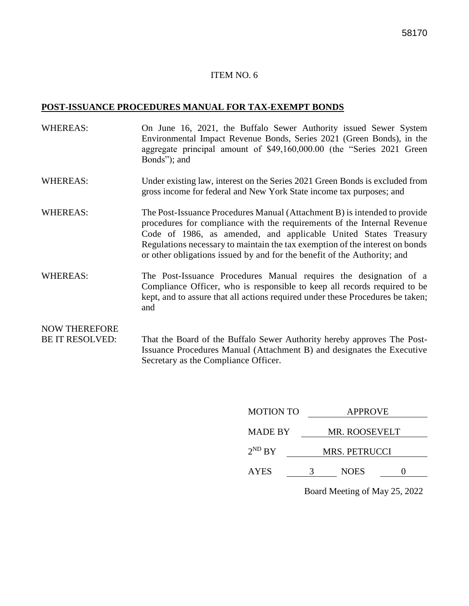#### **POST-ISSUANCE PROCEDURES MANUAL FOR TAX-EXEMPT BONDS**

- WHEREAS: On June 16, 2021, the Buffalo Sewer Authority issued Sewer System Environmental Impact Revenue Bonds, Series 2021 (Green Bonds), in the aggregate principal amount of \$49,160,000.00 (the "Series 2021 Green Bonds"); and
- WHEREAS: Under existing law, interest on the Series 2021 Green Bonds is excluded from gross income for federal and New York State income tax purposes; and
- WHEREAS: The Post-Issuance Procedures Manual (Attachment B) is intended to provide procedures for compliance with the requirements of the Internal Revenue Code of 1986, as amended, and applicable United States Treasury Regulations necessary to maintain the tax exemption of the interest on bonds or other obligations issued by and for the benefit of the Authority; and
- WHEREAS: The Post-Issuance Procedures Manual requires the designation of a Compliance Officer, who is responsible to keep all records required to be kept, and to assure that all actions required under these Procedures be taken; and

# NOW THEREFORE

BE IT RESOLVED: That the Board of the Buffalo Sewer Authority hereby approves The Post-Issuance Procedures Manual (Attachment B) and designates the Executive Secretary as the Compliance Officer.

| <b>MOTION TO</b> | <b>APPROVE</b>       |             |  |  |
|------------------|----------------------|-------------|--|--|
| <b>MADE BY</b>   | MR. ROOSEVELT        |             |  |  |
| $2^{ND} BY$      | <b>MRS. PETRUCCI</b> |             |  |  |
| <b>AYES</b>      | 3                    | <b>NOES</b> |  |  |
|                  |                      |             |  |  |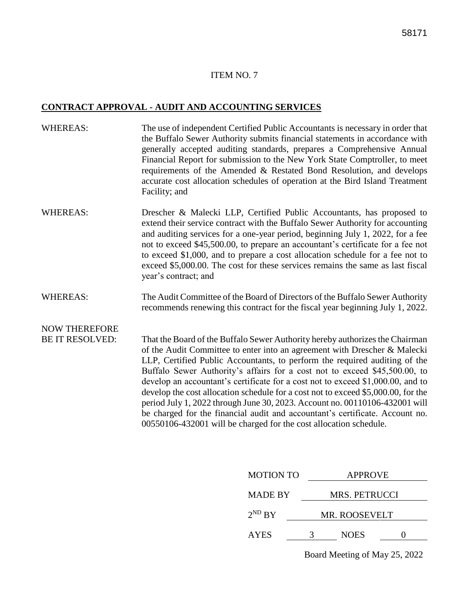#### **CONTRACT APPROVAL - AUDIT AND ACCOUNTING SERVICES**

- WHEREAS: The use of independent Certified Public Accountants is necessary in order that the Buffalo Sewer Authority submits financial statements in accordance with generally accepted auditing standards, prepares a Comprehensive Annual Financial Report for submission to the New York State Comptroller, to meet requirements of the Amended & Restated Bond Resolution, and develops accurate cost allocation schedules of operation at the Bird Island Treatment Facility; and
- WHEREAS: Drescher & Malecki LLP, Certified Public Accountants, has proposed to extend their service contract with the Buffalo Sewer Authority for accounting and auditing services for a one-year period, beginning July 1, 2022, for a fee not to exceed \$45,500.00, to prepare an accountant's certificate for a fee not to exceed \$1,000, and to prepare a cost allocation schedule for a fee not to exceed \$5,000.00. The cost for these services remains the same as last fiscal year's contract; and
- WHEREAS: The Audit Committee of the Board of Directors of the Buffalo Sewer Authority recommends renewing this contract for the fiscal year beginning July 1, 2022.

# NOW THEREFORE

BE IT RESOLVED: That the Board of the Buffalo Sewer Authority hereby authorizes the Chairman of the Audit Committee to enter into an agreement with Drescher & Malecki LLP, Certified Public Accountants, to perform the required auditing of the Buffalo Sewer Authority's affairs for a cost not to exceed \$45,500.00, to develop an accountant's certificate for a cost not to exceed \$1,000.00, and to develop the cost allocation schedule for a cost not to exceed \$5,000.00, for the period July 1, 2022 through June 30, 2023. Account no. 00110106-432001 will be charged for the financial audit and accountant's certificate. Account no. 00550106-432001 will be charged for the cost allocation schedule.

| <b>MOTION TO</b> | <b>APPROVE</b> |                      |  |  |
|------------------|----------------|----------------------|--|--|
| <b>MADE BY</b>   |                | <b>MRS. PETRUCCI</b> |  |  |
| $2^{ND} BY$      | MR. ROOSEVELT  |                      |  |  |
| <b>AYES</b>      | 3              | <b>NOES</b>          |  |  |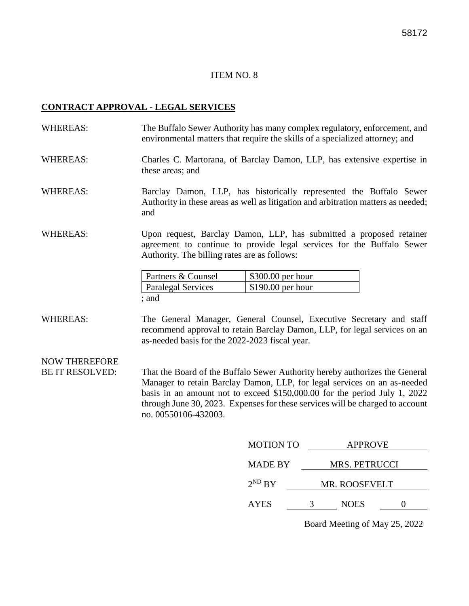#### **CONTRACT APPROVAL - LEGAL SERVICES**

WHEREAS: The Buffalo Sewer Authority has many complex regulatory, enforcement, and environmental matters that require the skills of a specialized attorney; and

#### WHEREAS: Charles C. Martorana, of Barclay Damon, LLP, has extensive expertise in these areas; and

- WHEREAS: Barclay Damon, LLP, has historically represented the Buffalo Sewer Authority in these areas as well as litigation and arbitration matters as needed; and
- WHEREAS: Upon request, Barclay Damon, LLP, has submitted a proposed retainer agreement to continue to provide legal services for the Buffalo Sewer Authority. The billing rates are as follows:

| <b>Partners &amp; Counsel</b> | $\frac{1}{2}$ \$300.00 per hour |
|-------------------------------|---------------------------------|
| <b>Paralegal Services</b>     | $\frac{1}{2}$ \$190.00 per hour |
| ; and                         |                                 |

WHEREAS: The General Manager, General Counsel, Executive Secretary and staff recommend approval to retain Barclay Damon, LLP, for legal services on an as-needed basis for the 2022-2023 fiscal year.

# NOW THEREFORE

BE IT RESOLVED: That the Board of the Buffalo Sewer Authority hereby authorizes the General Manager to retain Barclay Damon, LLP, for legal services on an as-needed basis in an amount not to exceed \$150,000.00 for the period July 1, 2022 through June 30, 2023. Expenses for these services will be charged to account no. 00550106-432003.

| <b>MOTION TO</b> |   | <b>APPROVE</b>       |  |
|------------------|---|----------------------|--|
| <b>MADE BY</b>   |   | <b>MRS. PETRUCCI</b> |  |
| $2^{ND} BY$      |   | MR. ROOSEVELT        |  |
| <b>AYES</b>      | 3 | <b>NOES</b>          |  |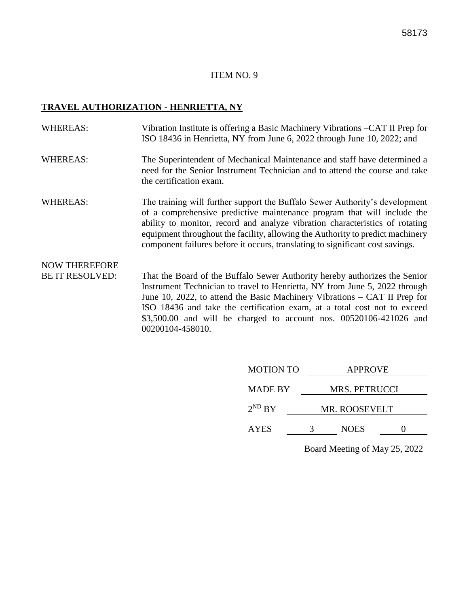#### **TRAVEL AUTHORIZATION - HENRIETTA, NY**

- WHEREAS: Vibration Institute is offering a Basic Machinery Vibrations –CAT II Prep for ISO 18436 in Henrietta, NY from June 6, 2022 through June 10, 2022; and
- WHEREAS: The Superintendent of Mechanical Maintenance and staff have determined a need for the Senior Instrument Technician and to attend the course and take the certification exam.
- WHEREAS: The training will further support the Buffalo Sewer Authority's development of a comprehensive predictive maintenance program that will include the ability to monitor, record and analyze vibration characteristics of rotating equipment throughout the facility, allowing the Authority to predict machinery component failures before it occurs, translating to significant cost savings.

# NOW THEREFORE

BE IT RESOLVED: That the Board of the Buffalo Sewer Authority hereby authorizes the Senior Instrument Technician to travel to Henrietta, NY from June 5, 2022 through June 10, 2022, to attend the Basic Machinery Vibrations – CAT II Prep for ISO 18436 and take the certification exam, at a total cost not to exceed \$3,500.00 and will be charged to account nos. 00520106-421026 and 00200104-458010.

| <b>MOTION TO</b> | <b>APPROVE</b> |                      |  |  |
|------------------|----------------|----------------------|--|--|
| <b>MADE BY</b>   |                | <b>MRS. PETRUCCI</b> |  |  |
| $2^{ND} BY$      |                | <b>MR. ROOSEVELT</b> |  |  |
| <b>AYES</b>      |                | <b>NOES</b>          |  |  |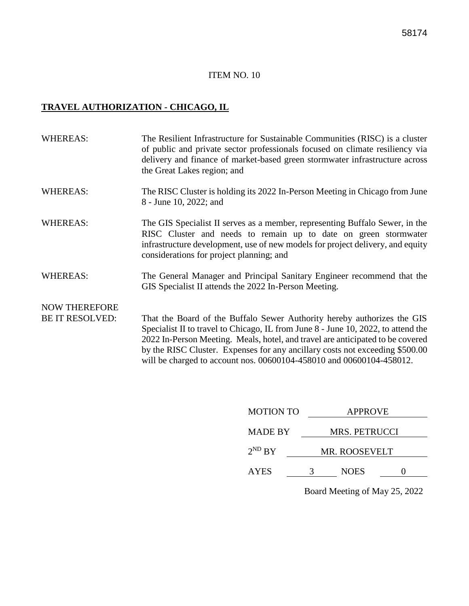# **TRAVEL AUTHORIZATION - CHICAGO, IL**

| <b>WHEREAS:</b>        | The Resilient Infrastructure for Sustainable Communities (RISC) is a cluster<br>of public and private sector professionals focused on climate resiliency via<br>delivery and finance of market-based green stormwater infrastructure across<br>the Great Lakes region; and                                                     |
|------------------------|--------------------------------------------------------------------------------------------------------------------------------------------------------------------------------------------------------------------------------------------------------------------------------------------------------------------------------|
| <b>WHEREAS:</b>        | The RISC Cluster is holding its 2022 In-Person Meeting in Chicago from June<br>8 - June 10, 2022; and                                                                                                                                                                                                                          |
| <b>WHEREAS:</b>        | The GIS Specialist II serves as a member, representing Buffalo Sewer, in the<br>RISC Cluster and needs to remain up to date on green stormwater<br>infrastructure development, use of new models for project delivery, and equity<br>considerations for project planning; and                                                  |
| <b>WHEREAS:</b>        | The General Manager and Principal Sanitary Engineer recommend that the<br>GIS Specialist II attends the 2022 In-Person Meeting.                                                                                                                                                                                                |
| <b>NOW THEREFORE</b>   |                                                                                                                                                                                                                                                                                                                                |
| <b>BE IT RESOLVED:</b> | That the Board of the Buffalo Sewer Authority hereby authorizes the GIS<br>Specialist II to travel to Chicago, IL from June 8 - June 10, 2022, to attend the<br>2022 In-Person Meeting. Meals, hotel, and travel are anticipated to be covered<br>by the RISC Cluster. Expenses for any ancillary costs not exceeding \$500.00 |

will be charged to account nos. 00600104-458010 and 00600104-458012.

| <b>MOTION TO</b> |   | <b>APPROVE</b>                |  |  |  |
|------------------|---|-------------------------------|--|--|--|
| <b>MADE BY</b>   |   | <b>MRS. PETRUCCI</b>          |  |  |  |
| $2^{ND} BY$      |   | MR. ROOSEVELT                 |  |  |  |
| <b>AYES</b>      | 3 | <b>NOES</b>                   |  |  |  |
|                  |   | Board Meeting of May 25, 2022 |  |  |  |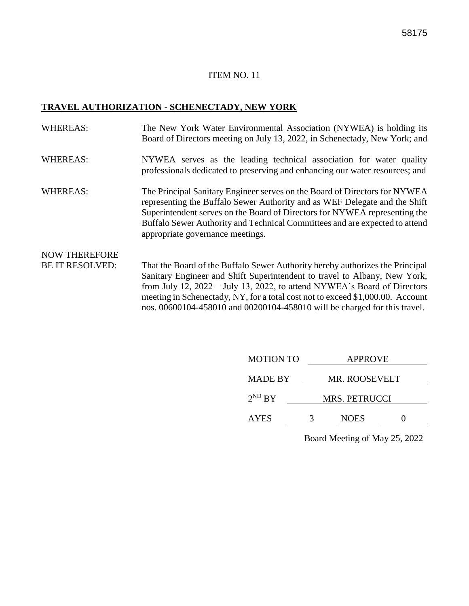#### **TRAVEL AUTHORIZATION - SCHENECTADY, NEW YORK**

- WHEREAS: The New York Water Environmental Association (NYWEA) is holding its Board of Directors meeting on July 13, 2022, in Schenectady, New York; and
- WHEREAS: NYWEA serves as the leading technical association for water quality professionals dedicated to preserving and enhancing our water resources; and
- WHEREAS: The Principal Sanitary Engineer serves on the Board of Directors for NYWEA representing the Buffalo Sewer Authority and as WEF Delegate and the Shift Superintendent serves on the Board of Directors for NYWEA representing the Buffalo Sewer Authority and Technical Committees and are expected to attend appropriate governance meetings.

NOW THEREFORE

BE IT RESOLVED: That the Board of the Buffalo Sewer Authority hereby authorizes the Principal Sanitary Engineer and Shift Superintendent to travel to Albany, New York, from July 12, 2022 – July 13, 2022, to attend NYWEA's Board of Directors meeting in Schenectady, NY, for a total cost not to exceed \$1,000.00. Account nos. 00600104-458010 and 00200104-458010 will be charged for this travel.

| <b>MOTION TO</b> | <b>APPROVE</b>       |               |  |  |
|------------------|----------------------|---------------|--|--|
| <b>MADE BY</b>   |                      | MR. ROOSEVELT |  |  |
| $2^{ND} BY$      | <b>MRS. PETRUCCI</b> |               |  |  |
| <b>AYES</b>      | 3                    | <b>NOES</b>   |  |  |
|                  |                      |               |  |  |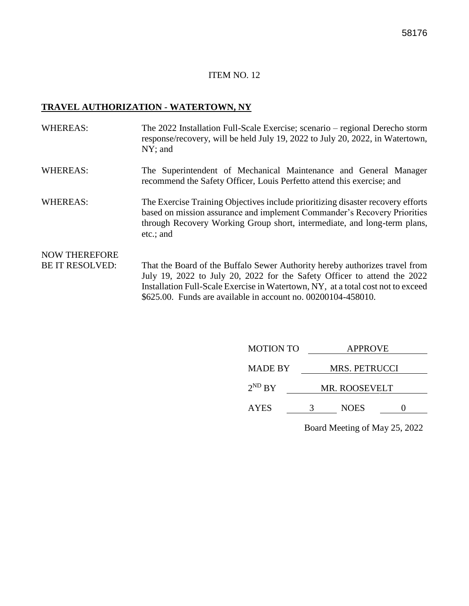#### **TRAVEL AUTHORIZATION - WATERTOWN, NY**

- WHEREAS: The 2022 Installation Full-Scale Exercise; scenario regional Derecho storm response/recovery, will be held July 19, 2022 to July 20, 2022, in Watertown, NY; and
- WHEREAS: The Superintendent of Mechanical Maintenance and General Manager recommend the Safety Officer, Louis Perfetto attend this exercise; and
- WHEREAS: The Exercise Training Objectives include prioritizing disaster recovery efforts based on mission assurance and implement Commander's Recovery Priorities through Recovery Working Group short, intermediate, and long-term plans, etc.; and

# NOW THEREFORE

BE IT RESOLVED: That the Board of the Buffalo Sewer Authority hereby authorizes travel from July 19, 2022 to July 20, 2022 for the Safety Officer to attend the 2022 Installation Full-Scale Exercise in Watertown, NY, at a total cost not to exceed \$625.00. Funds are available in account no. 00200104-458010.

| <b>MOTION TO</b> | <b>APPROVE</b> |                      |  |  |
|------------------|----------------|----------------------|--|--|
| <b>MADE BY</b>   |                | <b>MRS. PETRUCCI</b> |  |  |
| $2^{ND} BY$      | MR. ROOSEVELT  |                      |  |  |
| <b>AYES</b>      |                | <b>NOES</b>          |  |  |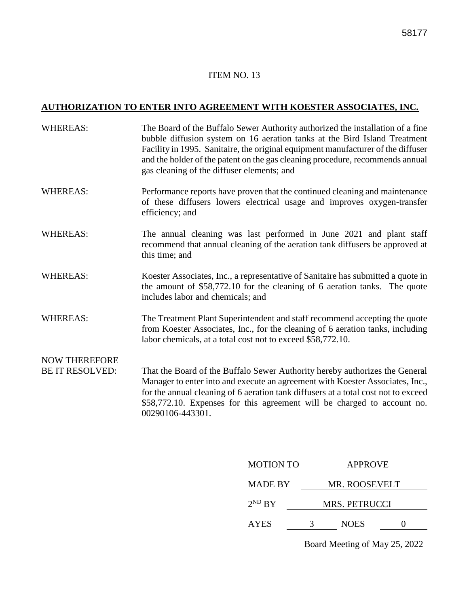# **AUTHORIZATION TO ENTER INTO AGREEMENT WITH KOESTER ASSOCIATES, INC.**

| The Board of the Buffalo Sewer Authority authorized the installation of a fine<br>bubble diffusion system on 16 aeration tanks at the Bird Island Treatment<br>Facility in 1995. Sanitaire, the original equipment manufacturer of the diffuser<br>and the holder of the patent on the gas cleaning procedure, recommends annual<br>gas cleaning of the diffuser elements; and |
|--------------------------------------------------------------------------------------------------------------------------------------------------------------------------------------------------------------------------------------------------------------------------------------------------------------------------------------------------------------------------------|
| Performance reports have proven that the continued cleaning and maintenance<br>of these diffusers lowers electrical usage and improves oxygen-transfer<br>efficiency; and                                                                                                                                                                                                      |
| The annual cleaning was last performed in June 2021 and plant staff<br>recommend that annual cleaning of the aeration tank diffusers be approved at<br>this time; and                                                                                                                                                                                                          |
| Koester Associates, Inc., a representative of Sanitaire has submitted a quote in<br>the amount of \$58,772.10 for the cleaning of 6 aeration tanks. The quote<br>includes labor and chemicals; and                                                                                                                                                                             |
| The Treatment Plant Superintendent and staff recommend accepting the quote<br>from Koester Associates, Inc., for the cleaning of 6 aeration tanks, including<br>labor chemicals, at a total cost not to exceed \$58,772.10.                                                                                                                                                    |
|                                                                                                                                                                                                                                                                                                                                                                                |
| That the Board of the Buffalo Sewer Authority hereby authorizes the General<br>Manager to enter into and execute an agreement with Koester Associates, Inc.,<br>for the annual cleaning of 6 aeration tank diffusers at a total cost not to exceed<br>\$58,772.10. Expenses for this agreement will be charged to account no.<br>00290106-443301.                              |
|                                                                                                                                                                                                                                                                                                                                                                                |

| <b>MOTION TO</b> | <b>APPROVE</b>       |               |  |  |
|------------------|----------------------|---------------|--|--|
| <b>MADE BY</b>   |                      | MR. ROOSEVELT |  |  |
| $2^{ND}$ BY      | <b>MRS. PETRUCCI</b> |               |  |  |
| <b>AYES</b>      | 3                    | <b>NOES</b>   |  |  |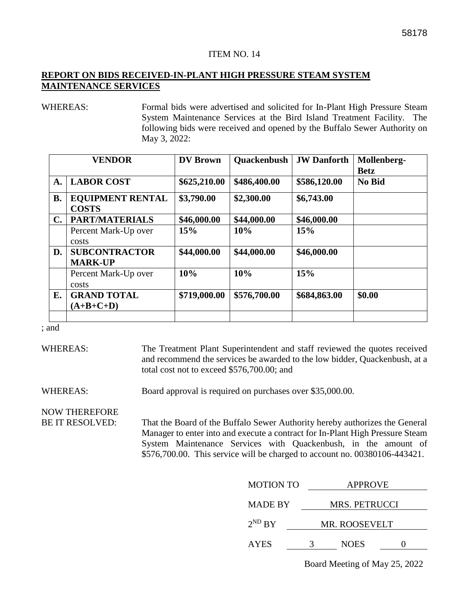#### **REPORT ON BIDS RECEIVED-IN-PLANT HIGH PRESSURE STEAM SYSTEM MAINTENANCE SERVICES**

WHEREAS: Formal bids were advertised and solicited for In-Plant High Pressure Steam System Maintenance Services at the Bird Island Treatment Facility. The following bids were received and opened by the Buffalo Sewer Authority on May 3, 2022:

| <b>VENDOR</b>  |                                         | <b>DV</b> Brown | <b>Quackenbush</b> | <b>JW</b> Danforth | Mollenberg-<br><b>Betz</b> |
|----------------|-----------------------------------------|-----------------|--------------------|--------------------|----------------------------|
| A.             | <b>LABOR COST</b>                       | \$625,210.00    | \$486,400.00       | \$586,120.00       | <b>No Bid</b>              |
| <b>B.</b>      | <b>EQUIPMENT RENTAL</b><br><b>COSTS</b> | \$3,790.00      | \$2,300.00         | \$6,743.00         |                            |
| $\mathbf{C}$ . | <b>PART/MATERIALS</b>                   | \$46,000.00     | \$44,000.00        | \$46,000.00        |                            |
|                | Percent Mark-Up over                    | 15%             | 10%                | 15%                |                            |
|                | costs                                   |                 |                    |                    |                            |
| D.             | <b>SUBCONTRACTOR</b><br><b>MARK-UP</b>  | \$44,000.00     | \$44,000.00        | \$46,000.00        |                            |
|                | Percent Mark-Up over                    | 10%             | 10%                | 15%                |                            |
|                | costs                                   |                 |                    |                    |                            |
| Е.             | <b>GRAND TOTAL</b>                      | \$719,000.00    | \$576,700.00       | \$684,863.00       | \$0.00                     |
|                | $(A+B+C+D)$                             |                 |                    |                    |                            |
|                |                                         |                 |                    |                    |                            |

; and

WHEREAS: The Treatment Plant Superintendent and staff reviewed the quotes received and recommend the services be awarded to the low bidder, Quackenbush, at a total cost not to exceed \$576,700.00; and

WHEREAS: Board approval is required on purchases over \$35,000.00.

NOW THEREFORE

BE IT RESOLVED: That the Board of the Buffalo Sewer Authority hereby authorizes the General Manager to enter into and execute a contract for In-Plant High Pressure Steam System Maintenance Services with Quackenbush, in the amount of \$576,700.00. This service will be charged to account no. 00380106-443421.

| <b>MOTION TO</b> | <b>APPROVE</b>       |  |  |  |
|------------------|----------------------|--|--|--|
| <b>MADE BY</b>   | <b>MRS. PETRUCCI</b> |  |  |  |
| $2^{ND} BY$      | <b>MR. ROOSEVELT</b> |  |  |  |
| <b>AYES</b>      | <b>NOES</b>          |  |  |  |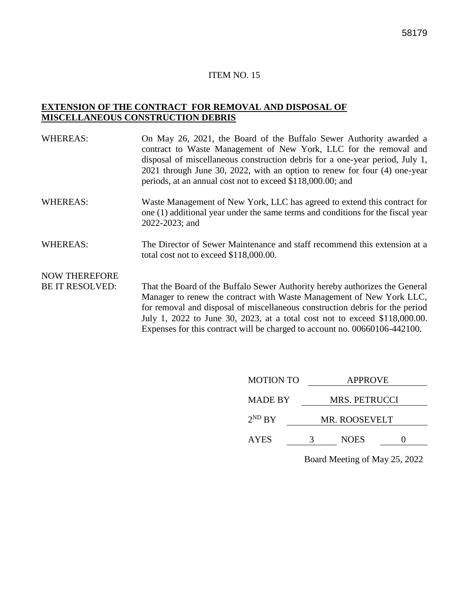#### **EXTENSION OF THE CONTRACT FOR REMOVAL AND DISPOSAL OF MISCELLANEOUS CONSTRUCTION DEBRIS**

| <b>WHEREAS:</b>        | On May 26, 2021, the Board of the Buffalo Sewer Authority awarded a<br>contract to Waste Management of New York, LLC for the removal and<br>disposal of miscellaneous construction debris for a one-year period, July 1,<br>2021 through June 30, 2022, with an option to renew for four (4) one-year<br>periods, at an annual cost not to exceed \$118,000.00; and |
|------------------------|---------------------------------------------------------------------------------------------------------------------------------------------------------------------------------------------------------------------------------------------------------------------------------------------------------------------------------------------------------------------|
| <b>WHEREAS:</b>        | Waste Management of New York, LLC has agreed to extend this contract for<br>one (1) additional year under the same terms and conditions for the fiscal year<br>2022-2023; and                                                                                                                                                                                       |
| <b>WHEREAS:</b>        | The Director of Sewer Maintenance and staff recommend this extension at a<br>total cost not to exceed \$118,000.00.                                                                                                                                                                                                                                                 |
| <b>NOW THEREFORE</b>   |                                                                                                                                                                                                                                                                                                                                                                     |
| <b>BE IT RESOLVED:</b> | That the Board of the Buffalo Sewer Authority hereby authorizes the General<br>Manager to renew the contract with Waste Management of New York LLC,<br>for removal and disposal of miscellaneous construction debris for the period                                                                                                                                 |

July 1, 2022 to June 30, 2023, at a total cost not to exceed \$118,000.00. Expenses for this contract will be charged to account no. 00660106-442100.

| <b>MOTION TO</b> | <b>APPROVE</b> |  |  |  |
|------------------|----------------|--|--|--|
| <b>MADE BY</b>   | MRS. PETRUCCI  |  |  |  |
| $2^{ND} BY$      | MR. ROOSEVELT  |  |  |  |
| <b>AYES</b>      | <b>NOES</b>    |  |  |  |
|                  |                |  |  |  |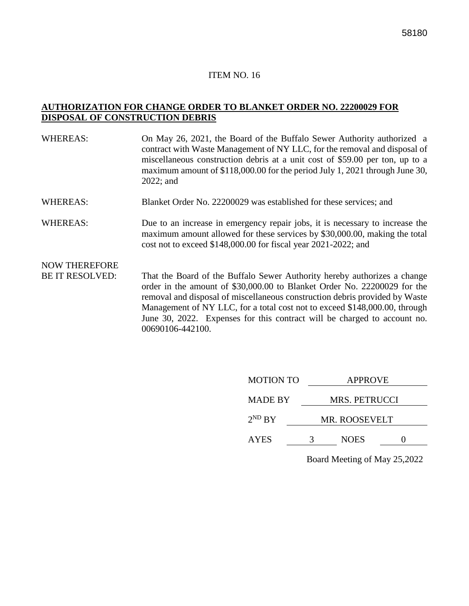#### **AUTHORIZATION FOR CHANGE ORDER TO BLANKET ORDER NO. 22200029 FOR DISPOSAL OF CONSTRUCTION DEBRIS**

- WHEREAS: On May 26, 2021, the Board of the Buffalo Sewer Authority authorized a contract with Waste Management of NY LLC, for the removal and disposal of miscellaneous construction debris at a unit cost of \$59.00 per ton, up to a maximum amount of \$118,000.00 for the period July 1, 2021 through June 30, 2022; and
- WHEREAS: Blanket Order No. 22200029 was established for these services: and
- WHEREAS: Due to an increase in emergency repair jobs, it is necessary to increase the maximum amount allowed for these services by \$30,000.00, making the total cost not to exceed \$148,000.00 for fiscal year 2021-2022; and

# NOW THEREFORE

BE IT RESOLVED: That the Board of the Buffalo Sewer Authority hereby authorizes a change order in the amount of \$30,000.00 to Blanket Order No. 22200029 for the removal and disposal of miscellaneous construction debris provided by Waste Management of NY LLC, for a total cost not to exceed \$148,000.00, through June 30, 2022. Expenses for this contract will be charged to account no. 00690106-442100.

| <b>MOTION TO</b> |   | <b>APPROVE</b>       |  |  |  |
|------------------|---|----------------------|--|--|--|
| <b>MADE BY</b>   |   | <b>MRS. PETRUCCI</b> |  |  |  |
| $2^{ND} BY$      |   | MR. ROOSEVELT        |  |  |  |
| <b>AYES</b>      | 3 | <b>NOES</b>          |  |  |  |
|                  |   |                      |  |  |  |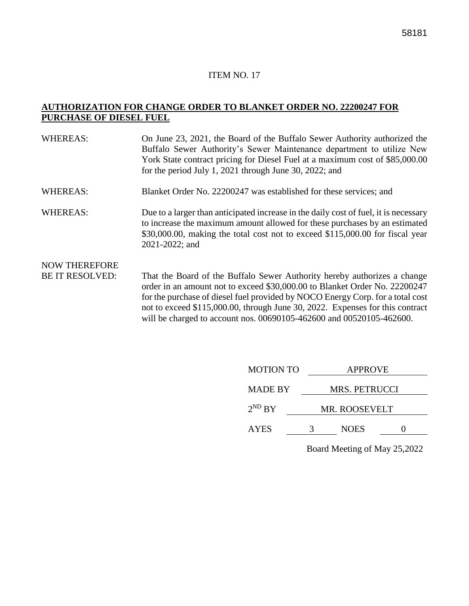#### **AUTHORIZATION FOR CHANGE ORDER TO BLANKET ORDER NO. 22200247 FOR PURCHASE OF DIESEL FUEL**

| <b>WHEREAS:</b>                                | On June 23, 2021, the Board of the Buffalo Sewer Authority authorized the<br>Buffalo Sewer Authority's Sewer Maintenance department to utilize New<br>York State contract pricing for Diesel Fuel at a maximum cost of \$85,000.00<br>for the period July 1, 2021 through June 30, 2022; and |
|------------------------------------------------|----------------------------------------------------------------------------------------------------------------------------------------------------------------------------------------------------------------------------------------------------------------------------------------------|
| <b>WHEREAS:</b>                                | Blanket Order No. 22200247 was established for these services; and                                                                                                                                                                                                                           |
| <b>WHEREAS:</b>                                | Due to a larger than anticipated increase in the daily cost of fuel, it is necessary<br>to increase the maximum amount allowed for these purchases by an estimated<br>\$30,000.00, making the total cost not to exceed \$115,000.00 for fiscal year<br>2021-2022; and                        |
| <b>NOW THEREFORE</b><br><b>BE IT RESOLVED:</b> | That the Board of the Buffalo Sewer Authority hereby authorizes a change<br>order in an amount not to exceed $20,000,00$ to Blanket Order No. 22200247                                                                                                                                       |

order in an amount not to exceed \$30,000.00 to Blanket Order No. 22200247 for the purchase of diesel fuel provided by NOCO Energy Corp. for a total cost not to exceed \$115,000.00, through June 30, 2022. Expenses for this contract will be charged to account nos. 00690105-462600 and 00520105-462600.

| <b>MOTION TO</b> | <b>APPROVE</b> |  |  |  |
|------------------|----------------|--|--|--|
| <b>MADE BY</b>   | MRS. PETRUCCI  |  |  |  |
| $2^{ND} BY$      | MR. ROOSEVELT  |  |  |  |
| <b>AYES</b>      | <b>NOES</b>    |  |  |  |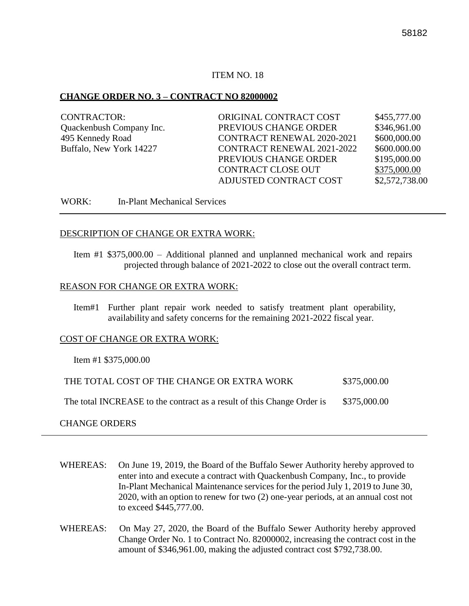#### **CHANGE ORDER NO. 3 – CONTRACT NO 82000002**

| CONTRACTOR:              | ORIGINAL CONTRACT COST            | \$455,777.00   |
|--------------------------|-----------------------------------|----------------|
| Quackenbush Company Inc. | PREVIOUS CHANGE ORDER             | \$346,961.00   |
| 495 Kennedy Road         | <b>CONTRACT RENEWAL 2020-2021</b> | \$600,000.00   |
| Buffalo, New York 14227  | <b>CONTRACT RENEWAL 2021-2022</b> | \$600.000.00   |
|                          | PREVIOUS CHANGE ORDER             | \$195,000.00   |
|                          | <b>CONTRACT CLOSE OUT</b>         | \$375,000.00   |
|                          | ADJUSTED CONTRACT COST            | \$2,572,738.00 |
|                          |                                   |                |

WORK: In-Plant Mechanical Services

#### DESCRIPTION OF CHANGE OR EXTRA WORK:

Item #1 \$375,000.00 – Additional planned and unplanned mechanical work and repairs projected through balance of 2021-2022 to close out the overall contract term.

#### REASON FOR CHANGE OR EXTRA WORK:

Item#1 Further plant repair work needed to satisfy treatment plant operability, availability and safety concerns for the remaining 2021-2022 fiscal year.

#### COST OF CHANGE OR EXTRA WORK:

Item #1 \$375,000.00

| THE TOTAL COST OF THE CHANGE OR EXTRA WORK                             | \$375,000.00 |
|------------------------------------------------------------------------|--------------|
| The total INCREASE to the contract as a result of this Change Order is | \$375,000.00 |

#### CHANGE ORDERS

- WHEREAS: On June 19, 2019, the Board of the Buffalo Sewer Authority hereby approved to enter into and execute a contract with Quackenbush Company, Inc., to provide In-Plant Mechanical Maintenance services for the period July 1, 2019 to June 30, 2020, with an option to renew for two (2) one-year periods, at an annual cost not to exceed \$445,777.00.
- WHEREAS: On May 27, 2020, the Board of the Buffalo Sewer Authority hereby approved Change Order No. 1 to Contract No. 82000002, increasing the contract cost in the amount of \$346,961.00, making the adjusted contract cost \$792,738.00.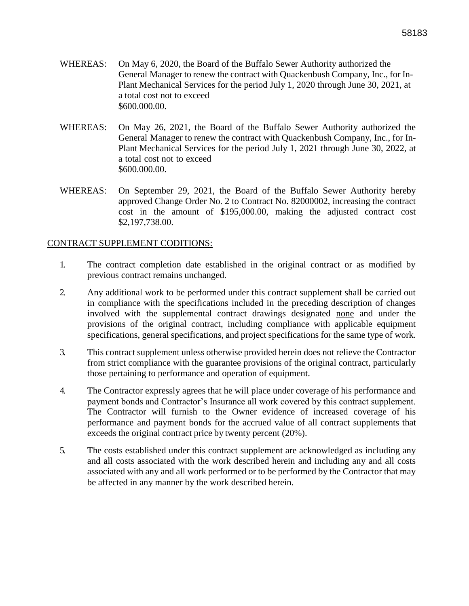- WHEREAS: On May 6, 2020, the Board of the Buffalo Sewer Authority authorized the General Manager to renew the contract with Quackenbush Company, Inc., for In-Plant Mechanical Services for the period July 1, 2020 through June 30, 2021, at a total cost not to exceed \$600.000.00.
- WHEREAS: On May 26, 2021, the Board of the Buffalo Sewer Authority authorized the General Manager to renew the contract with Quackenbush Company, Inc., for In-Plant Mechanical Services for the period July 1, 2021 through June 30, 2022, at a total cost not to exceed \$600.000.00.
- WHEREAS: On September 29, 2021, the Board of the Buffalo Sewer Authority hereby approved Change Order No. 2 to Contract No. 82000002, increasing the contract cost in the amount of \$195,000.00, making the adjusted contract cost \$2,197,738.00.

#### CONTRACT SUPPLEMENT CODITIONS:

- 1. The contract completion date established in the original contract or as modified by previous contract remains unchanged.
- 2. Any additional work to be performed under this contract supplement shall be carried out in compliance with the specifications included in the preceding description of changes involved with the supplemental contract drawings designated none and under the provisions of the original contract, including compliance with applicable equipment specifications, general specifications, and project specifications for the same type of work.
- 3. This contract supplement unless otherwise provided herein does not relieve the Contractor from strict compliance with the guarantee provisions of the original contract, particularly those pertaining to performance and operation of equipment.
- 4. The Contractor expressly agrees that he will place under coverage of his performance and payment bonds and Contractor's Insurance all work covered by this contract supplement. The Contractor will furnish to the Owner evidence of increased coverage of his performance and payment bonds for the accrued value of all contract supplements that exceeds the original contract price by twenty percent (20%).
- 5. The costs established under this contract supplement are acknowledged as including any and all costs associated with the work described herein and including any and all costs associated with any and all work performed or to be performed by the Contractor that may be affected in any manner by the work described herein.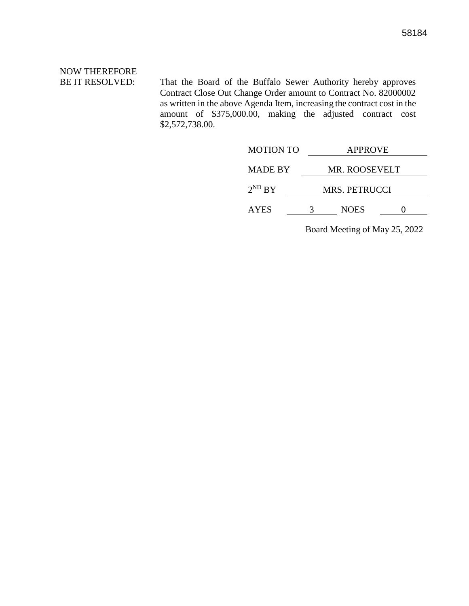# NOW THEREFORE

BE IT RESOLVED: That the Board of the Buffalo Sewer Authority hereby approves Contract Close Out Change Order amount to Contract No. 82000002 as written in the above Agenda Item, increasing the contract cost in the amount of \$375,000.00, making the adjusted contract cost \$2,572,738.00.

|   | <b>APPROVE</b> |               |  |
|---|----------------|---------------|--|
|   | MR. ROOSEVELT  |               |  |
|   |                |               |  |
| 2 | <b>NOES</b>    |               |  |
|   |                | MRS. PETRUCCI |  |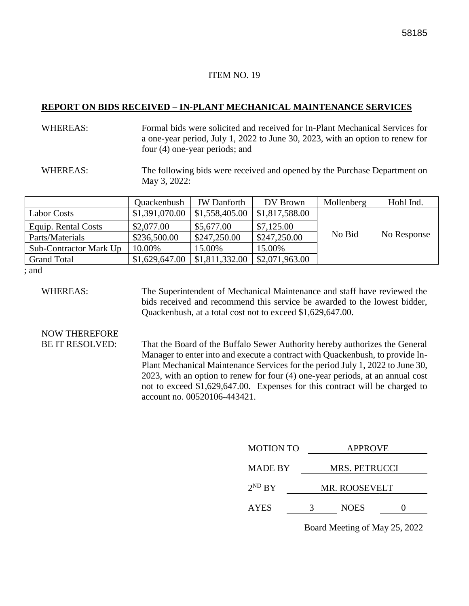#### **REPORT ON BIDS RECEIVED – IN-PLANT MECHANICAL MAINTENANCE SERVICES**

#### WHEREAS: Formal bids were solicited and received for In-Plant Mechanical Services for a one-year period, July 1, 2022 to June 30, 2023, with an option to renew for four (4) one-year periods; and

WHEREAS: The following bids were received and opened by the Purchase Department on May 3, 2022:

|                        | Quackenbush    | <b>JW</b> Danforth | DV Brown       | Mollenberg | Hohl Ind.   |
|------------------------|----------------|--------------------|----------------|------------|-------------|
| <b>Labor Costs</b>     | \$1,391,070.00 | \$1,558,405.00     | \$1,817,588.00 |            |             |
| Equip. Rental Costs    | \$2,077.00     | \$5,677.00         | \$7,125.00     |            |             |
| Parts/Materials        | \$236,500.00   | \$247,250.00       | \$247,250.00   | No Bid     | No Response |
| Sub-Contractor Mark Up | 10.00%         | 15.00%             | 15.00%         |            |             |
| <b>Grand Total</b>     | \$1,629,647.00 | \$1,811,332.00     | \$2,071,963.00 |            |             |

; and

WHEREAS: The Superintendent of Mechanical Maintenance and staff have reviewed the bids received and recommend this service be awarded to the lowest bidder, Quackenbush, at a total cost not to exceed \$1,629,647.00.

# NOW THEREFORE

BE IT RESOLVED: That the Board of the Buffalo Sewer Authority hereby authorizes the General Manager to enter into and execute a contract with Quackenbush, to provide In-Plant Mechanical Maintenance Services for the period July 1, 2022 to June 30, 2023, with an option to renew for four (4) one-year periods, at an annual cost not to exceed \$1,629,647.00. Expenses for this contract will be charged to account no. 00520106-443421.

| <b>MOTION TO</b> | <b>APPROVE</b>       |  |  |  |
|------------------|----------------------|--|--|--|
| <b>MADE BY</b>   | <b>MRS. PETRUCCI</b> |  |  |  |
| $2^{ND}$ BY      | <b>MR. ROOSEVELT</b> |  |  |  |
| <b>AYES</b>      | <b>NOES</b>          |  |  |  |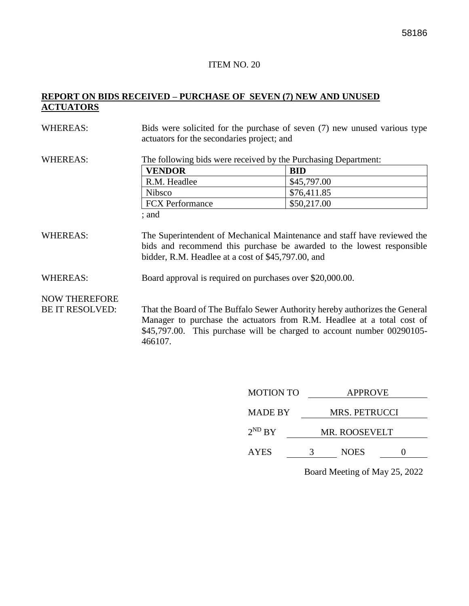### **REPORT ON BIDS RECEIVED – PURCHASE OF SEVEN (7) NEW AND UNUSED ACTUATORS**

| <b>WHEREAS:</b>                                | actuators for the secondaries project; and                                                                      | Bids were solicited for the purchase of seven (7) new unused various type                                                                                                                                                       |  |  |  |  |
|------------------------------------------------|-----------------------------------------------------------------------------------------------------------------|---------------------------------------------------------------------------------------------------------------------------------------------------------------------------------------------------------------------------------|--|--|--|--|
| <b>WHEREAS:</b>                                | The following bids were received by the Purchasing Department:                                                  |                                                                                                                                                                                                                                 |  |  |  |  |
|                                                | <b>VENDOR</b>                                                                                                   | <b>BID</b>                                                                                                                                                                                                                      |  |  |  |  |
|                                                | R.M. Headlee                                                                                                    | \$45,797.00                                                                                                                                                                                                                     |  |  |  |  |
|                                                | <b>Nibsco</b>                                                                                                   | \$76,411.85                                                                                                                                                                                                                     |  |  |  |  |
|                                                | <b>FCX</b> Performance                                                                                          | \$50,217.00                                                                                                                                                                                                                     |  |  |  |  |
|                                                | ; and                                                                                                           |                                                                                                                                                                                                                                 |  |  |  |  |
| <b>WHEREAS:</b><br><b>WHEREAS:</b>             | bidder, R.M. Headlee at a cost of \$45,797.00, and<br>Board approval is required on purchases over \$20,000.00. | The Superintendent of Mechanical Maintenance and staff have reviewed the<br>bids and recommend this purchase be awarded to the lowest responsible                                                                               |  |  |  |  |
|                                                |                                                                                                                 |                                                                                                                                                                                                                                 |  |  |  |  |
| <b>NOW THEREFORE</b><br><b>BE IT RESOLVED:</b> | 466107.                                                                                                         | That the Board of The Buffalo Sewer Authority hereby authorizes the General<br>Manager to purchase the actuators from R.M. Headlee at a total cost of<br>\$45,797.00. This purchase will be charged to account number 00290105- |  |  |  |  |

| <b>MOTION TO</b> | <b>APPROVE</b> |                      |  |  |  |  |
|------------------|----------------|----------------------|--|--|--|--|
| <b>MADE BY</b>   |                | <b>MRS. PETRUCCI</b> |  |  |  |  |
| $2^{ND} BY$      |                | MR. ROOSEVELT        |  |  |  |  |
| <b>AYES</b>      |                | <b>NOES</b>          |  |  |  |  |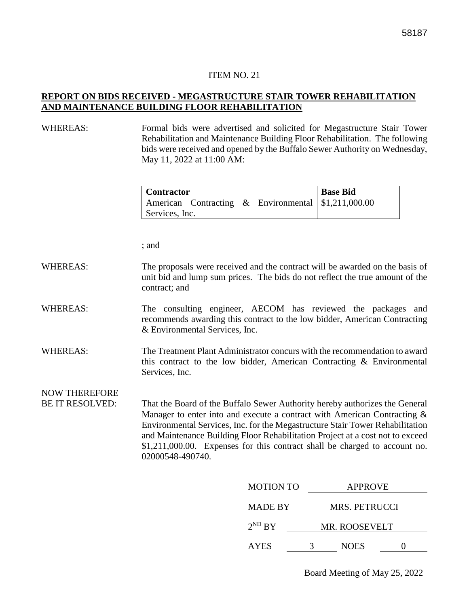#### **REPORT ON BIDS RECEIVED - MEGASTRUCTURE STAIR TOWER REHABILITATION AND MAINTENANCE BUILDING FLOOR REHABILITATION**

#### WHEREAS: Formal bids were advertised and solicited for Megastructure Stair Tower Rehabilitation and Maintenance Building Floor Rehabilitation. The following bids were received and opened by the Buffalo Sewer Authority on Wednesday, May 11, 2022 at 11:00 AM:

| <b>Contractor</b> |  | <b>Base Bid</b>                                       |  |
|-------------------|--|-------------------------------------------------------|--|
|                   |  | American Contracting & Environmental   \$1,211,000.00 |  |
| Services, Inc.    |  |                                                       |  |

; and

#### WHEREAS: The proposals were received and the contract will be awarded on the basis of unit bid and lump sum prices. The bids do not reflect the true amount of the contract; and

#### WHEREAS: The consulting engineer, AECOM has reviewed the packages and recommends awarding this contract to the low bidder, American Contracting & Environmental Services, Inc.

WHEREAS: The Treatment Plant Administrator concurs with the recommendation to award this contract to the low bidder, American Contracting & Environmental Services, Inc.

NOW THEREFORE

BE IT RESOLVED: That the Board of the Buffalo Sewer Authority hereby authorizes the General Manager to enter into and execute a contract with American Contracting & Environmental Services, Inc. for the Megastructure Stair Tower Rehabilitation and Maintenance Building Floor Rehabilitation Project at a cost not to exceed \$1,211,000.00. Expenses for this contract shall be charged to account no. 02000548-490740.

| <b>MOTION TO</b> | <b>APPROVE</b>       |  |  |  |  |  |
|------------------|----------------------|--|--|--|--|--|
| <b>MADE BY</b>   | <b>MRS. PETRUCCI</b> |  |  |  |  |  |
| $2^{ND} BY$      | MR. ROOSEVELT        |  |  |  |  |  |
| <b>AYES</b>      | <b>NOES</b>          |  |  |  |  |  |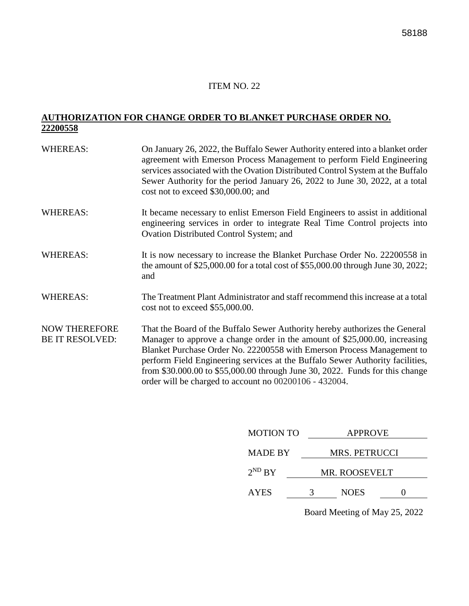### **AUTHORIZATION FOR CHANGE ORDER TO BLANKET PURCHASE ORDER NO. 22200558**

| <b>WHEREAS:</b>                                | On January 26, 2022, the Buffalo Sewer Authority entered into a blanket order<br>agreement with Emerson Process Management to perform Field Engineering<br>services associated with the Ovation Distributed Control System at the Buffalo<br>Sewer Authority for the period January 26, 2022 to June 30, 2022, at a total<br>cost not to exceed \$30,000.00; and                                                                                               |
|------------------------------------------------|----------------------------------------------------------------------------------------------------------------------------------------------------------------------------------------------------------------------------------------------------------------------------------------------------------------------------------------------------------------------------------------------------------------------------------------------------------------|
| <b>WHEREAS:</b>                                | It became necessary to enlist Emerson Field Engineers to assist in additional<br>engineering services in order to integrate Real Time Control projects into<br>Ovation Distributed Control System; and                                                                                                                                                                                                                                                         |
| <b>WHEREAS:</b>                                | It is now necessary to increase the Blanket Purchase Order No. 22200558 in<br>the amount of $$25,000.00$ for a total cost of $$55,000.00$ through June 30, 2022;<br>and                                                                                                                                                                                                                                                                                        |
| <b>WHEREAS:</b>                                | The Treatment Plant Administrator and staff recommend this increase at a total<br>cost not to exceed \$55,000.00.                                                                                                                                                                                                                                                                                                                                              |
| <b>NOW THEREFORE</b><br><b>BE IT RESOLVED:</b> | That the Board of the Buffalo Sewer Authority hereby authorizes the General<br>Manager to approve a change order in the amount of \$25,000.00, increasing<br>Blanket Purchase Order No. 22200558 with Emerson Process Management to<br>perform Field Engineering services at the Buffalo Sewer Authority facilities,<br>from \$30.000.00 to \$55,000.00 through June 30, 2022. Funds for this change<br>order will be charged to account no 00200106 - 432004. |

| <b>MOTION TO</b> | <b>APPROVE</b> |                      |  |  |  |  |
|------------------|----------------|----------------------|--|--|--|--|
| <b>MADE BY</b>   |                | <b>MRS. PETRUCCI</b> |  |  |  |  |
| $2^{ND} BY$      | MR. ROOSEVELT  |                      |  |  |  |  |
| <b>AYES</b>      | 3              | <b>NOES</b>          |  |  |  |  |
|                  |                |                      |  |  |  |  |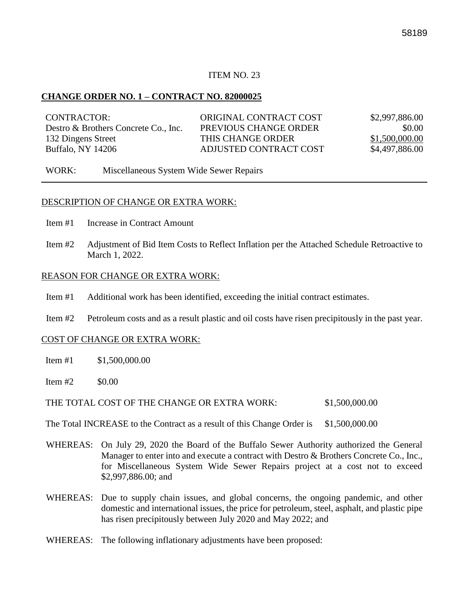#### **CHANGE ORDER NO. 1 – CONTRACT NO. 82000025**

| CONTRACTOR:                          | ORIGINAL CONTRACT COST | \$2,997,886.00 |
|--------------------------------------|------------------------|----------------|
| Destro & Brothers Concrete Co., Inc. | PREVIOUS CHANGE ORDER  | \$0.00         |
| 132 Dingens Street                   | THIS CHANGE ORDER      | \$1,500,000.00 |
| Buffalo, NY 14206                    | ADJUSTED CONTRACT COST | \$4,497,886.00 |

WORK: Miscellaneous System Wide Sewer Repairs

#### DESCRIPTION OF CHANGE OR EXTRA WORK:

- Item #1 Increase in Contract Amount
- Item #2 Adjustment of Bid Item Costs to Reflect Inflation per the Attached Schedule Retroactive to March 1, 2022.

#### REASON FOR CHANGE OR EXTRA WORK:

- Item #1 Additional work has been identified, exceeding the initial contract estimates.
- Item #2 Petroleum costs and as a result plastic and oil costs have risen precipitously in the past year.

#### COST OF CHANGE OR EXTRA WORK:

- Item  $\#1$  \$1,500,000.00
- $Item #2$  \$0.00

THE TOTAL COST OF THE CHANGE OR EXTRA WORK: \$1,500,000.00

The Total INCREASE to the Contract as a result of this Change Order is \$1,500,000.00

- WHEREAS: On July 29, 2020 the Board of the Buffalo Sewer Authority authorized the General Manager to enter into and execute a contract with Destro & Brothers Concrete Co., Inc., for Miscellaneous System Wide Sewer Repairs project at a cost not to exceed \$2,997,886.00; and
- WHEREAS: Due to supply chain issues, and global concerns, the ongoing pandemic, and other domestic and international issues, the price for petroleum, steel, asphalt, and plastic pipe has risen precipitously between July 2020 and May 2022; and
- WHEREAS: The following inflationary adjustments have been proposed: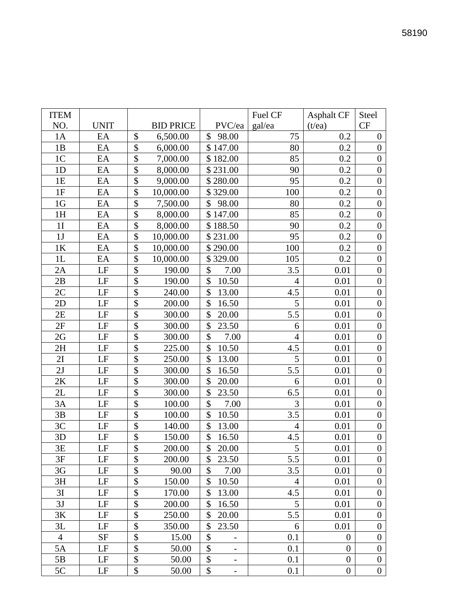| <b>ITEM</b>    |             |                           |                  |                                    | Fuel CF        | <b>Asphalt CF</b> | Steel            |
|----------------|-------------|---------------------------|------------------|------------------------------------|----------------|-------------------|------------------|
| NO.            | <b>UNIT</b> |                           | <b>BID PRICE</b> | PVC/ea                             | gal/ea         | (t/ea)            | <b>CF</b>        |
| 1A             | EA          | \$                        | 6,500.00         | \$<br>98.00                        | 75             | 0.2               | $\boldsymbol{0}$ |
| 1B             | EA          | \$                        | 6,000.00         | \$147.00                           | 80             | 0.2               | $\overline{0}$   |
| 1 <sup>C</sup> | EA          | \$                        | 7,000.00         | \$182.00                           | 85             | 0.2               | $\boldsymbol{0}$ |
| 1D             | EA          | \$                        | 8,000.00         | \$231.00                           | 90             | 0.2               | $\boldsymbol{0}$ |
| 1E             | EA          | \$                        | 9,000.00         | \$280.00                           | 95             | 0.2               | $\boldsymbol{0}$ |
| 1F             | EA          | \$                        | 10,000.00        | \$329.00                           | 100            | 0.2               | $\boldsymbol{0}$ |
| 1 <sub>G</sub> | EA          | \$                        | 7,500.00         | \$<br>98.00                        | 80             | 0.2               | $\boldsymbol{0}$ |
| 1H             | EA          | \$                        | 8,000.00         | \$147.00                           | 85             | 0.2               | $\boldsymbol{0}$ |
| 1 <sub>I</sub> | EA          | \$                        | 8,000.00         | \$188.50                           | 90             | 0.2               | $\boldsymbol{0}$ |
| 1J             | EA          | \$                        | 10,000.00        | \$231.00                           | 95             | 0.2               | $\boldsymbol{0}$ |
| 1K             | EA          | \$                        | 10,000.00        | \$290.00                           | 100            | 0.2               | $\overline{0}$   |
| 1L             | EA          | \$                        | 10,000.00        | \$329.00                           | 105            | 0.2               | $\boldsymbol{0}$ |
| 2A             | $\rm LF$    | \$                        | 190.00           | \$<br>7.00                         | 3.5            | 0.01              | $\boldsymbol{0}$ |
| 2B             | LF          | \$                        | 190.00           | \$<br>10.50                        | $\overline{4}$ | 0.01              | $\boldsymbol{0}$ |
| 2C             | LF          | \$                        | 240.00           | \$<br>13.00                        | 4.5            | 0.01              | $\boldsymbol{0}$ |
| 2D             | LF          | \$                        | 200.00           | \$<br>16.50                        | 5              | 0.01              | $\boldsymbol{0}$ |
| 2E             | LF          | \$                        | 300.00           | \$<br>20.00                        | 5.5            | 0.01              | $\boldsymbol{0}$ |
| 2F             | $\rm LF$    | \$                        | 300.00           | \$<br>23.50                        | 6              | 0.01              | $\overline{0}$   |
| 2G             | $\rm LF$    | \$                        | 300.00           | \$<br>7.00                         | $\overline{4}$ | 0.01              | $\boldsymbol{0}$ |
| 2H             | LF          | \$                        | 225.00           | \$<br>10.50                        | 4.5            | 0.01              | $\boldsymbol{0}$ |
| 2I             | LF          | \$                        | 250.00           | \$<br>13.00                        | 5              | 0.01              | $\boldsymbol{0}$ |
| 2J             | LF          | \$                        | 300.00           | \$<br>16.50                        | 5.5            | 0.01              | $\boldsymbol{0}$ |
| 2K             | $\rm LF$    | \$                        | 300.00           | \$<br>20.00                        | 6              | 0.01              | $\boldsymbol{0}$ |
| 2L             | LF          | \$                        | 300.00           | \$<br>23.50                        | 6.5            | 0.01              | $\boldsymbol{0}$ |
| 3A             | LF          | \$                        | 100.00           | \$<br>7.00                         | 3              | 0.01              | $\overline{0}$   |
| 3B             | LF          | \$                        | 100.00           | \$<br>10.50                        | 3.5            | 0.01              | $\boldsymbol{0}$ |
| 3C             | LF          | \$                        | 140.00           | \$<br>13.00                        | $\overline{4}$ | 0.01              | $\boldsymbol{0}$ |
| 3D             | LF          | \$                        | 150.00           | \$<br>16.50                        | 4.5            | 0.01              | $\boldsymbol{0}$ |
| 3E             | LF          | \$                        | 200.00           | \$<br>20.00                        | $\mathfrak{S}$ | 0.01              | $\boldsymbol{0}$ |
| 3F             | LF          | $\boldsymbol{\mathsf{S}}$ | 200.00           | \$<br>23.50                        | 5.5            | 0.01              | $\overline{0}$   |
| 3G             | LF          | \$                        | 90.00            | \$<br>7.00                         | 3.5            | 0.01              | $\boldsymbol{0}$ |
| 3H             | LF          | \$                        | 150.00           | \$<br>10.50                        | $\overline{4}$ | 0.01              | $\boldsymbol{0}$ |
| 3I             | $\rm LF$    | \$                        | 170.00           | \$<br>13.00                        | 4.5            | 0.01              | $\boldsymbol{0}$ |
| 3J             | LF          | \$                        | 200.00           | \$<br>16.50                        | 5              | 0.01              | $\boldsymbol{0}$ |
| 3K             | LF          | \$                        | 250.00           | \$<br>20.00                        | 5.5            | 0.01              | $\boldsymbol{0}$ |
| 3L             | LF          | \$                        | 350.00           | \$<br>23.50                        | 6              | 0.01              | $\boldsymbol{0}$ |
| $\overline{4}$ | <b>SF</b>   | \$                        | 15.00            | \$                                 | 0.1            | $\overline{0}$    | $\boldsymbol{0}$ |
| 5A             | $\rm LF$    | \$                        | 50.00            | \$                                 | 0.1            | $\boldsymbol{0}$  | $\boldsymbol{0}$ |
| 5B             | LF          | \$                        | 50.00            | \$                                 | 0.1            | $\boldsymbol{0}$  | $\boldsymbol{0}$ |
| $5\mathrm{C}$  | LF          | \$                        | 50.00            | \$<br>$\qquad \qquad \blacksquare$ | 0.1            | $\boldsymbol{0}$  | $\boldsymbol{0}$ |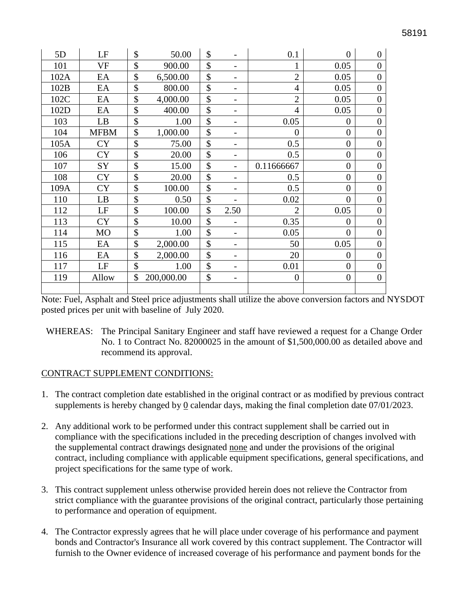| 5D   | LF             | \$                        | 50.00      | \$                                 | 0.1              | $\overline{0}$ | $\overline{0}$   |
|------|----------------|---------------------------|------------|------------------------------------|------------------|----------------|------------------|
| 101  | <b>VF</b>      | \$                        | 900.00     | \$<br>-                            |                  | 0.05           | $\overline{0}$   |
| 102A | EA             | \$                        | 6,500.00   | \$<br>-                            | $\overline{2}$   | 0.05           | $\overline{0}$   |
| 102B | EA             | \$                        | 800.00     | \$<br>-                            | $\overline{4}$   | 0.05           | $\overline{0}$   |
| 102C | EA             | $\mathcal{S}$             | 4,000.00   | \$<br>-                            | $\overline{2}$   | 0.05           | $\overline{0}$   |
| 102D | EA             | \$                        | 400.00     | \$<br>-                            | $\overline{4}$   | 0.05           | $\overline{0}$   |
| 103  | LB             | \$                        | 1.00       | \$<br>-                            | 0.05             | $\overline{0}$ | $\boldsymbol{0}$ |
| 104  | <b>MFBM</b>    | \$                        | 1,000.00   | \$<br>-                            | $\boldsymbol{0}$ | $\theta$       | $\overline{0}$   |
| 105A | <b>CY</b>      | \$                        | 75.00      | \$<br>$\qquad \qquad$              | 0.5              | $\overline{0}$ | $\overline{0}$   |
| 106  | <b>CY</b>      | \$                        | 20.00      | \$<br>-                            | 0.5              | $\overline{0}$ | $\boldsymbol{0}$ |
| 107  | <b>SY</b>      | \$                        | 15.00      | \$                                 | 0.11666667       | $\overline{0}$ | $\overline{0}$   |
| 108  | <b>CY</b>      | $\boldsymbol{\mathsf{S}}$ | 20.00      | \$<br>-                            | 0.5              | $\overline{0}$ | $\overline{0}$   |
| 109A | <b>CY</b>      | \$                        | 100.00     | \$<br>-                            | 0.5              | $\overline{0}$ | $\overline{0}$   |
| 110  | LB             | \$                        | 0.50       | \$<br>-                            | 0.02             | $\overline{0}$ | $\overline{0}$   |
| 112  | LF             | \$                        | 100.00     | \$<br>2.50                         | $\overline{2}$   | 0.05           | $\overline{0}$   |
| 113  | <b>CY</b>      | \$                        | 10.00      | \$                                 | 0.35             | $\theta$       | $\overline{0}$   |
| 114  | M <sub>O</sub> | \$                        | 1.00       | \$<br>-                            | 0.05             | $\overline{0}$ | $\overline{0}$   |
| 115  | EA             | \$                        | 2,000.00   | \$<br>-                            | 50               | 0.05           | $\overline{0}$   |
| 116  | EA             | $\mathcal{S}$             | 2,000.00   | \$<br>$\qquad \qquad \blacksquare$ | 20               | $\overline{0}$ | $\boldsymbol{0}$ |
| 117  | LF             | \$                        | 1.00       | \$<br>-                            | 0.01             | $\overline{0}$ | $\boldsymbol{0}$ |
| 119  | Allow          | \$                        | 200,000.00 | \$<br>$\qquad \qquad \blacksquare$ | $\boldsymbol{0}$ | $\overline{0}$ | $\overline{0}$   |
|      |                |                           |            |                                    |                  |                |                  |

Note: Fuel, Asphalt and Steel price adjustments shall utilize the above conversion factors and NYSDOT posted prices per unit with baseline of July 2020.

WHEREAS: The Principal Sanitary Engineer and staff have reviewed a request for a Change Order No. 1 to Contract No. 82000025 in the amount of \$1,500,000.00 as detailed above and recommend its approval.

#### CONTRACT SUPPLEMENT CONDITIONS:

- 1. The contract completion date established in the original contract or as modified by previous contract supplements is hereby changed by 0 calendar days, making the final completion date 07/01/2023.
- 2. Any additional work to be performed under this contract supplement shall be carried out in compliance with the specifications included in the preceding description of changes involved with the supplemental contract drawings designated none and under the provisions of the original contract, including compliance with applicable equipment specifications, general specifications, and project specifications for the same type of work.
- 3. This contract supplement unless otherwise provided herein does not relieve the Contractor from strict compliance with the guarantee provisions of the original contract, particularly those pertaining to performance and operation of equipment.
- 4. The Contractor expressly agrees that he will place under coverage of his performance and payment bonds and Contractor's Insurance all work covered by this contract supplement. The Contractor will furnish to the Owner evidence of increased coverage of his performance and payment bonds for the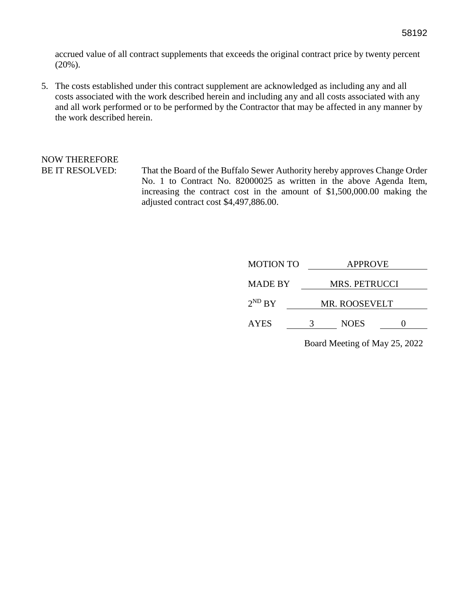accrued value of all contract supplements that exceeds the original contract price by twenty percent (20%).

5. The costs established under this contract supplement are acknowledged as including any and all costs associated with the work described herein and including any and all costs associated with any and all work performed or to be performed by the Contractor that may be affected in any manner by the work described herein.

# NOW THEREFORE

BE IT RESOLVED: That the Board of the Buffalo Sewer Authority hereby approves Change Order No. 1 to Contract No. 82000025 as written in the above Agenda Item, increasing the contract cost in the amount of \$1,500,000.00 making the adjusted contract cost \$4,497,886.00.

| <b>MOTION TO</b> |               | <b>APPROVE</b>       |  |  |  |  |
|------------------|---------------|----------------------|--|--|--|--|
| <b>MADE BY</b>   |               | <b>MRS. PETRUCCI</b> |  |  |  |  |
| $2^{ND} BY$      | MR. ROOSEVELT |                      |  |  |  |  |
| <b>AYES</b>      |               | <b>NOES</b>          |  |  |  |  |
|                  |               |                      |  |  |  |  |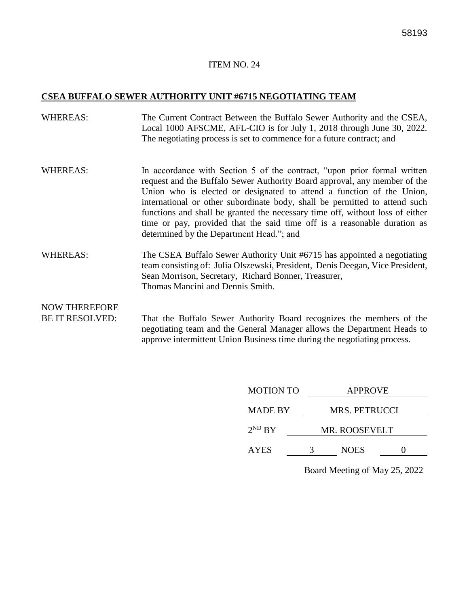#### **CSEA BUFFALO SEWER AUTHORITY UNIT #6715 NEGOTIATING TEAM**

- WHEREAS: The Current Contract Between the Buffalo Sewer Authority and the CSEA, Local 1000 AFSCME, AFL-CIO is for July 1, 2018 through June 30, 2022. The negotiating process is set to commence for a future contract; and
- WHEREAS: In accordance with Section 5 of the contract, "upon prior formal written request and the Buffalo Sewer Authority Board approval, any member of the Union who is elected or designated to attend a function of the Union, international or other subordinate body, shall be permitted to attend such functions and shall be granted the necessary time off, without loss of either time or pay, provided that the said time off is a reasonable duration as determined by the Department Head."; and
- WHEREAS: The CSEA Buffalo Sewer Authority Unit #6715 has appointed a negotiating team consisting of: Julia Olszewski, President, Denis Deegan, Vice President, Sean Morrison, Secretary, Richard Bonner, Treasurer, Thomas Mancini and Dennis Smith.

# NOW THEREFORE

BE IT RESOLVED: That the Buffalo Sewer Authority Board recognizes the members of the negotiating team and the General Manager allows the Department Heads to approve intermittent Union Business time during the negotiating process.

| <b>MOTION TO</b> | <b>APPROVE</b>       |                      |  |  |  |  |
|------------------|----------------------|----------------------|--|--|--|--|
| <b>MADE BY</b>   |                      | <b>MRS. PETRUCCI</b> |  |  |  |  |
| $2^{ND}$ BY      | <b>MR. ROOSEVELT</b> |                      |  |  |  |  |
| <b>AYES</b>      | 3                    | <b>NOES</b>          |  |  |  |  |

Board Meeting of May 25, 2022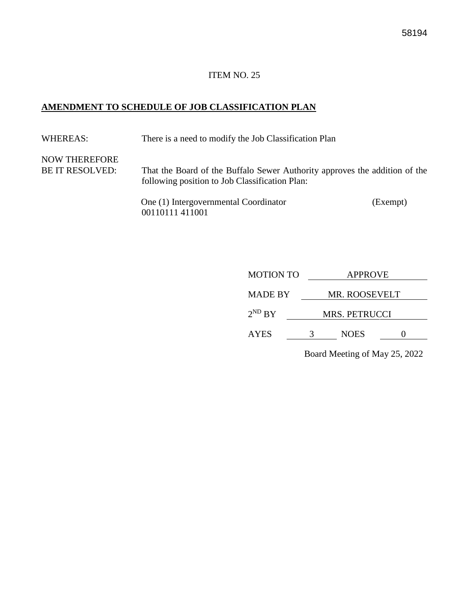#### **AMENDMENT TO SCHEDULE OF JOB CLASSIFICATION PLAN**

WHEREAS: There is a need to modify the Job Classification Plan NOW THEREFORE BE IT RESOLVED: That the Board of the Buffalo Sewer Authority approves the addition of the following position to Job Classification Plan: One (1) Intergovernmental Coordinator (Exempt) 00110111 411001

| <b>MOTION TO</b> | <b>APPROVE</b>       |               |  |  |  |
|------------------|----------------------|---------------|--|--|--|
| <b>MADE BY</b>   |                      | MR. ROOSEVELT |  |  |  |
| $2^{ND} BY$      | <b>MRS. PETRUCCI</b> |               |  |  |  |
| <b>AYES</b>      |                      | <b>NOES</b>   |  |  |  |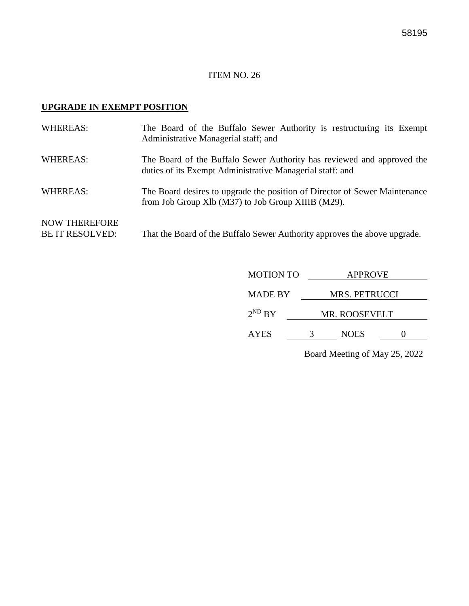# **UPGRADE IN EXEMPT POSITION**

| <b>WHEREAS:</b>                                | The Board of the Buffalo Sewer Authority is restructuring its Exempt<br>Administrative Managerial staff; and                        |
|------------------------------------------------|-------------------------------------------------------------------------------------------------------------------------------------|
| <b>WHEREAS:</b>                                | The Board of the Buffalo Sewer Authority has reviewed and approved the<br>duties of its Exempt Administrative Managerial staff: and |
| <b>WHEREAS:</b>                                | The Board desires to upgrade the position of Director of Sewer Maintenance<br>from Job Group Xlb (M37) to Job Group XIIIB (M29).    |
| <b>NOW THEREFORE</b><br><b>BE IT RESOLVED:</b> | That the Board of the Buffalo Sewer Authority approves the above upgrade.                                                           |

| <b>MOTION TO</b> | <b>APPROVE</b>       |             |  |  |
|------------------|----------------------|-------------|--|--|
| <b>MADE BY</b>   | <b>MRS. PETRUCCI</b> |             |  |  |
| $2^{ND} BY$      | MR. ROOSEVELT        |             |  |  |
| <b>AYES</b>      |                      | <b>NOES</b> |  |  |
|                  |                      |             |  |  |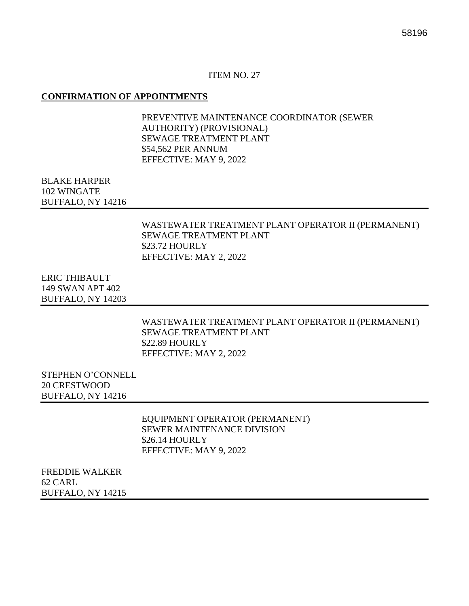#### **CONFIRMATION OF APPOINTMENTS**

PREVENTIVE MAINTENANCE COORDINATOR (SEWER AUTHORITY) (PROVISIONAL) SEWAGE TREATMENT PLANT \$54,562 PER ANNUM EFFECTIVE: MAY 9, 2022

#### BLAKE HARPER 102 WINGATE BUFFALO, NY 14216

#### WASTEWATER TREATMENT PLANT OPERATOR II (PERMANENT) SEWAGE TREATMENT PLANT \$23.72 HOURLY EFFECTIVE: MAY 2, 2022

ERIC THIBAULT 149 SWAN APT 402 BUFFALO, NY 14203

> WASTEWATER TREATMENT PLANT OPERATOR II (PERMANENT) SEWAGE TREATMENT PLANT \$22.89 HOURLY EFFECTIVE: MAY 2, 2022

STEPHEN O'CONNELL 20 CRESTWOOD BUFFALO, NY 14216

> EQUIPMENT OPERATOR (PERMANENT) SEWER MAINTENANCE DIVISION \$26.14 HOURLY EFFECTIVE: MAY 9, 2022

FREDDIE WALKER 62 CARL BUFFALO, NY 14215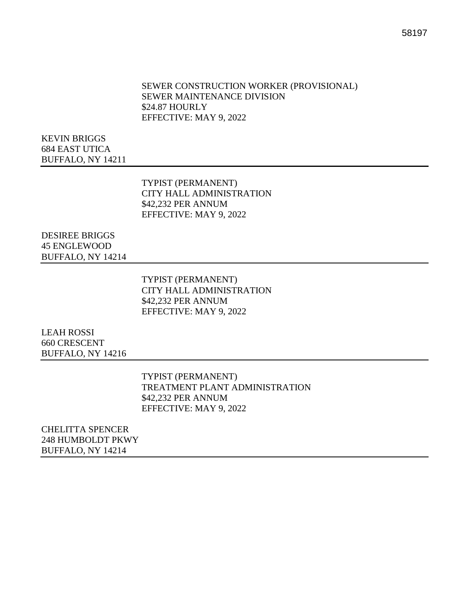#### SEWER CONSTRUCTION WORKER (PROVISIONAL) SEWER MAINTENANCE DIVISION \$24.87 HOURLY EFFECTIVE: MAY 9, 2022

KEVIN BRIGGS 684 EAST UTICA BUFFALO, NY 14211

> TYPIST (PERMANENT) CITY HALL ADMINISTRATION \$42,232 PER ANNUM EFFECTIVE: MAY 9, 2022

DESIREE BRIGGS 45 ENGLEWOOD BUFFALO, NY 14214

> TYPIST (PERMANENT) CITY HALL ADMINISTRATION \$42,232 PER ANNUM EFFECTIVE: MAY 9, 2022

LEAH ROSSI 660 CRESCENT BUFFALO, NY 14216

> TYPIST (PERMANENT) TREATMENT PLANT ADMINISTRATION \$42,232 PER ANNUM EFFECTIVE: MAY 9, 2022

CHELITTA SPENCER 248 HUMBOLDT PKWY BUFFALO, NY 14214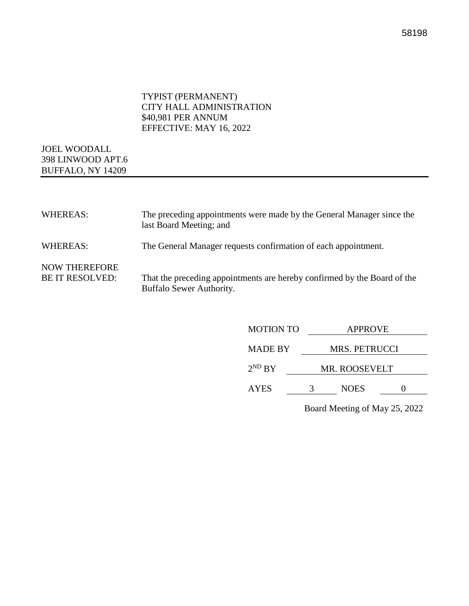#### TYPIST (PERMANENT) CITY HALL ADMINISTRATION \$40,981 PER ANNUM EFFECTIVE: MAY 16, 2022

### JOEL WOODALL 398 LINWOOD APT.6 BUFFALO, NY 14209

| <b>WHEREAS:</b>                                | The preceding appointments were made by the General Manager since the<br>last Board Meeting; and     |
|------------------------------------------------|------------------------------------------------------------------------------------------------------|
| <b>WHEREAS:</b>                                | The General Manager requests confirmation of each appointment.                                       |
| <b>NOW THEREFORE</b><br><b>BE IT RESOLVED:</b> | That the preceding appointments are hereby confirmed by the Board of the<br>Buffalo Sewer Authority. |

| <b>MOTION TO</b> | <b>APPROVE</b>       |             |  |  |
|------------------|----------------------|-------------|--|--|
| <b>MADE BY</b>   | <b>MRS. PETRUCCI</b> |             |  |  |
| $2^{ND} BY$      | <b>MR. ROOSEVELT</b> |             |  |  |
| <b>AYES</b>      | 3                    | <b>NOES</b> |  |  |